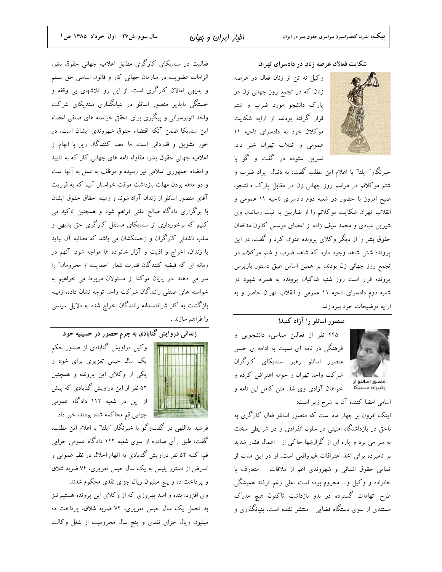شکایت فعالان عرصه زنان در دادسرای تهران

وكيل نه تن از زنان فعال در عرصه زنان که در تجمع روز جهانی زن در پارک دانشجو مورد ضرب و شتم قرار گرفته بودند، از ارایه شکایت موكلان خود به دادسراي ناحيه ١١ عمومی و انقلاب تهران خبر داد. نسرین ستوده در گفت و گو با



#### منصور اسانلو را آزاد کنید!



۴۴۵ نفر از فعالین سیاسی، دانشجویی و فرهنگی در نامه ای نسبت به ادامه ی حبس منصور اسانلو رهبر سندیکای کارگران شرکت واحد تهران و حومه اعتراض کرده و خواهان آزادی وی شد. متن کامل این نامه و

منصور اصائلو از<br>رهبران سندیکا

اسامی امضا کننده آن به شرح زیر است:

اینک افزون بر چهار ماه است که منصور اسانلو فعال کارگری به ناحق در بازداشتگاه امنیتی در سلول انفرادی و در شرایطی سخت به سر می برد و پاره ای از گزارشها حاکی از ِ اعمال فشار شدید بر نامبرده برای اخذ اعترافات غیرواقعی است. او در این مدت از تمامی حقوق انسانی و شهروندی اعم از ملاقات متعارف با خانواده و وکیل و… محروم بوده است .علی رغم ترفند همیشگی طرح اتهامات گسترده در بدو بازداشت تاکنون هیچ مدرک مستندی از سوی دستگاه قضایی ِ منتشر نشده است. بنیانگذاری و

فعالیت در سندیکای کارگری مطابق اعلامیه جهانی حقوق بشر، الزامات عضویت در سازمان جهانی کار و قانون اساسی حق مسلم و بدیهی فعالان کارگری است. از این رو تلاشهای بی وقفه و خستگی ناپذیر منصور اسانلو در بنیانگذاری سندیکای شرکت واحد اتوبوسرانی و پیگیری برای تحقق خواسته های صنفی اعضاء این سندیکا ضمن آنکه اقتضاء حقوق شهروندی ایشان است، در خور تشویق و قدردانی است. ما امضا کنندگان زیر با الهام از اعلامیه جهانی حقوق بشر، مقاوله نامه های جهانی کار که به تایید و امضاء جمهوری اسلامی نیز رسیده و موظف به عمل به آنها است و دو ماهه بودن مهلت بازداشت موقت خواستار آنیم که به فوریت آقای منصور اسانلو از زندان آزاد شوند و زمینه احقاق حقوق ایشان با برگزاری دادگاه صالح علنی فراهم شود و همچنین تاکید می کنیم که برخورداری از سندیکای مستقل کارگری حق بدیهی و سلب ناشدنی کارگران و زحمتکشان می باشد که مطالبه آن نباید با زندان، اخراج و اذیت و آزار خانواده ها مواجه شود. آنهم در زمانه ای که قبضه کنندگان قدرت شعار "حمایت از محرومان" را سر می دهند .در پایان موکدا از مسئولان مربوط می خواهیم به خواسته های صنفی رانندگان شرکت واحد توجه نشان داده، زمینه بازگشت به کار شرافتمندانه رانندگان اخراج شده به دلایل سیاسی را فراهم سازند .

# زندانی دروایش گنابادی به جرم حضور در حسینیه خود



وکیل دراویش گنابادی از صدور حکم یک سال حبس تعزیری برای خود و یکی از وکلای این پرونده و همچنین ۵۲ نفر از این دراویش گنابادی که پیش از این در شعبه ۱۱۲ دادگاه عمومی جزایی قم محاکمه شده بودند، خبر داد.

فرشید یداللهی در گفتوگو با خبرنگار "ایلنا" با اعلام این مطلب، گفت: طبق رأی صادره از سوی شعبه ۱۱۲ دادگاه عمومی جزایی قم، کلیه ۵۲ نفر دراویش گنابادی به اتهام اخلال در نظم عمومی و تمرض از دستور پلیس به یک سال حبس تعزیری، ۷۴ ضربه شلاق و پرداخت ده و پنج میلیون ریال جزای نقدی محکوم شدند. وی افزود: بنده و امید بهروزی که از وکلای این پرونده هستیم نیز به تحمل یک سال حبس تعزیری، ۷۴ ضربه شلاق، پرداخت ده میلیون ریال جزای نقدی و پنج سال محرومیت از شغل وکالت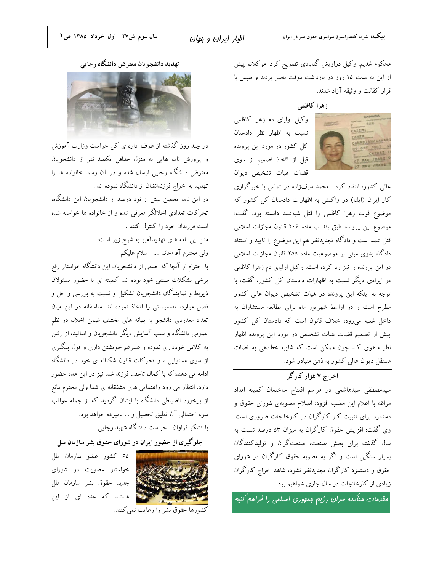محکوم شدیم. وکیل دراویش گنابادی تصریح کرد: موکلانم پیش از این به مدت ۱۵ روز در بازداشت موقت بهسر بردند و سیس با قرار كفالت و وثيقه آزاد شدند.

## زهرا كاظمى

وکیل اولیای دم زهرا کاظمی نسبت به اظهار نظر دادستان کل کشور در مورد این پرونده قبل از اتخاذ تصمیم از سوی قضات هيات تشخيص ديوان

عالی کشور، انتقاد کرد. محمد سیفزاده در تماس با خبرگزاری کار ایران (ایلنا) در واکنش به اظهارات دادستان کل کشور که موضوع فوت زهرا كاظمى را قتل شبهعمد دانسته بود، گفت: موضوع این پرونده طبق بند ب ماده ۲۰۶ قانون مجازات اسلامی قتل عمد است و دادگاه تجدیدنظر هم این موضوع را تایید و استناد دادگاه بدوی مبنی بر موضوعیت ماده ۲۵۵ قانون مجازات اسلامی در این پرونده را نیز رد کرده است. وکیل اولیای دم زهرا کاظمی در ایرادی دیگر نسبت به اظهارات دادستان کل کشور، گفت: با توجه به اینکه این پرونده در هیات تشخیص دیوان عالی کشور مطرح است و در اواسط شهریور ماه برای مطالعه مستشاران به داخل شعبه میرود، خلاف قانون است که دادستان کل کشور پیش از تصمیم قضات هیات تشخیص در مورد این پرونده اظهار نظر ماهوی کند چون ممکن است که شایبه خطدهی به قضات مستقل دیوان عالی کشور به ذهن متبادر شود.

اخراج ۷ هزار کارگر سیدمصطفی سیدهاشمی در مراسم افتتاح ساختمان کمیته امداد

مراغه با اعلام این مطلب افزود: اصلاح مصوبهی شورای حقوق و دستمزد برای تثبیت کار کارگران در کارخانجات ضروری است. وی گفت: افزایش حقوق کارگران به میزان ۵۳ درصد نسبت به سال گذشته برای بخش صنعت، صنعتگران و تولیدکنندگان بسیار سنگین است و اگر به مصوبه حقوق کارگران در شورای حقوق و دستمزد کارگران تجدیدنظر نشود، شاهد اخراج کارگران زیادی از کارخانجات در سال جاری خواهیم بود.

مقرمات مف*اکمه سران <sub>ر</sub> ژ*یم م*ِمهوری اسلامی را فراه*م *کن*یم

تهدید دانشجو یان معترض دانشگاه رجایی



در چند روز گذشته از طرف اداره ی کل حراست وزارت آموزش و پرورش نامه هایی به منزل حداقل یکصد نفر از دانشجویان معترض دانشگاه رجایی ارسال شده و در آن رسما خانواده ها را تهدید به اخراج فرزندانشان از دانشگاه نموده اند .

در این نامه تحصن بیش از نود درصد از دانشجویان این دانشگاه، تحرکات تعدادی اخلالگر معرفی شده و از خانواده ها خواسته شده است فرزندان خود را كنترل كنند .

متن این نامه های تهدیدآمیز به شرح زیر است:

ولى محترم آقا/خانم .... سلام عليكم

با احترام از آنجا که جمعی از دانشجویان این دانشگاه خواستار رفع برخی مشکلات صنفی خود بوده اند، کمیته ای با حضور مسئولان ذیربط و نمایندگان دانشجویان تشکیل و نسبت به بررسی و حل و فصل موارد، تصمیماتی را اتخاذ نموده اند. متاسفانه در این میان تعداد معدودی دانشجو به بهانه های مختلف ضمن اخلال در نظم عمومی دانشگاه و سلب آسایش دیگر دانشجویان و اساتید، از رفتن به کلاس خودداری نموده و علیرغم خویشتن داری و قول پیگیری از سوی مسئولین ، و تحرکات قانون شکنانه ی خود در دانشگاه ادامه می دهند،که با کمال تاسف فرزند شما نیز در این عده حضور دارد. انتظار می رود راهنمایی های مشفقانه ی شما ولی محترم مانع از برخورد انضباطی دانشگاه با ایشان گردید که از جمله عواقب سوء احتمالي آن تعليق تحصيل و … نامبرده خواهد بود. با تشکر فراوان حراست دانشگاه شهید رجایی

جلوگیری از حضور ایران در شورای حقوق بشر سازمان ملل



۶۵ کشور عضو سازمان ملل خواستار عضویت در شورای جدید حقوق بشر سازمان ملل هستند که عده ای از این

شورها حقوق بشر را رعايت نمي كنند.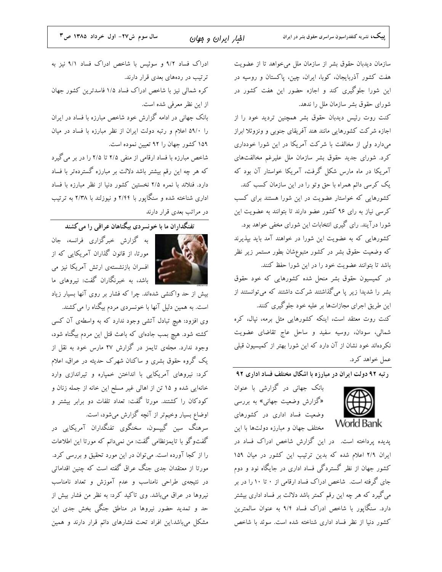سازمان دیدبان حقوق بشر از سازمان ملل میخواهد تا از عضویت هفت کشور آذربایجان، کوبا، ایران، چین، یاکستان و روسیه در این شورا جلوگیری کند و اجازه حضور این هفت کشور در شورای حقوق بشر سازمان ملل را ندهد.

کنت روت رئیس دیدبان حقوق بشر همچنین تردید خود را از اجازه شرکت کشورهایی مانند هند آفریقای جنوبی و ونزوئلا ابراز میدارد ولی از مخالفت با شرکت آمریکا در این شورا خودداری کرد. شورای جدید حقوق بشر سازمان ملل علیرغم مخالفتهای آمریکا در ماه مارس شکل گرفت، آمریکا خواستار آن بود که یک کرسی دائم همراه با حق وتو را در این سازمان کسب کند. کشورهایی که خواستار عضویت در این شورا هستند برای کسب کرسی نیاز به رای ۹۶ کشور عضو دارند تا بتوانند به عضویت این شورا درآیند. رای گیری انتخابات این شورای مخفی خواهد بود. کشورهایی که به عضویت این شورا در خواهند آمد باید بپذیرند که وضعیت حقوق بشر در کشور متبوعشان بطور مستمر زیر نظر باشد تا بتوانند عضويت خود را در اين شورا حفظ كنند. در کمیسیون حقوق بشر منحل شده کشورهایی که خود حقوق بشر را شدیدا زیر پا میگذاشتند شرکت داشتند که میتوانستند از

این طریق اجرای مجازاتها بر علیه خود جلوگیری کنند. کنت روت معتقد است، اینکه کشورهایی مثل برمه، نپال، کره شمالی، سودان، روسیه سفید و ساحل عاج تقاضای عضویت نکردهاند خود نشان از آن دارد که این شورا بهتر از کمیسیون قبلی عمل خواهد کرد.

<u>, تنه ۹۲ دولت ایران در مبارزه با اشکال مختلف فساد اداری ۹۲</u>



بانک جهانی در گزارشی با عنوان «گزارش وضعیت جهانی» به بررسی وضعیت فساد اداری در کشورهای مختلف جهان و مبارزه دولتها با این

پدیده پرداخته است. در این گزارش شاخص ادراک فساد در ایران ٢/٩ اعلام شده که بدین ترتیب این کشور در میان ١٥٩ کشور جهان از نظر گستردگی فساد اداری در جایگاه نود و دوم جای گرفته است. شاخص ادراک فساد ارقامی از ۰ تا ۱۰ را در بر می گیرد که هر چه این رقم کمتر باشد دلالت بر فساد اداری بیشتر دارد. سنگاپور با شاخص ادراک فساد ۹/۴ به عنوان سالمترین كشور دنيا از نظر فساد ادارى شناخته شده است. سوئد با شاخص

ادراک فساد ۹/۲ و سوئیس با شاخص ادراک فساد ۹/۱ نیز به ترتیب در ردههای بعدی قرار دارند. کره شمالی نیز با شاخص ادراک فساد ۱/۵ فاسدترین کشور جهان از این نظر معرفی شده است.

بانک جهانی در ادامه گزارش خود شاخص مبارزه با فساد در ایران را ۵۹/۰ اعلام و رتبه دولت ایران از نظر مبارزه با فساد در میان ۱۵۹ کشور جهان را ۹۲ تعیین نموده است.

شاخص مبارزه با فساد ارقامی از منفی ۲/۵ تا ۲/۵ را در بر می گیرد که هر چه این رقم بیشتر باشد دلالت بر مبارزه گستردهتر با فساد دارد. فنلاند با نمره ۲/۵ نخستین کشور دنیا از نظر مبارزه با فساد اداری شناخته شده و سنگاپور با ۲/۴۴ و نیوزلند با ۲/۳۸ به ترتیب در مراتب بعدی قرار دارند

.<br>تفنگداران ما با خونسردی بیگناهان عراق<sub>ی (</sub>ا می کشند



به گزارش خبرگزاری فرانسه، جان مورتا، از قانون گذاران آمریکایی که از افسران بازنشستهی ارتش آمریکا نیز می م آن باشد، به خبرنگاران گفت: نیروهای ما

بیش از حد واکنشی شدهاند. چرا که فشار بر روی آنها بسیار زیاد است. به همین دلیل آنها با خونسردی مردم بیگناه را می کشند. وی افزود: هیچ تبادل آتشی وجود ندارد که به واسطهی آن کسی کشته شود. هیچ بمب جادهای که باعث قتل این مردم بیگناه شود، وجود ندارد. مجلهی تایمز در گزارش ۲۷ مارس خود به نقل از یک گروه حقوق بشری و ساکنان شهرک حدیثه در عراق، اعلام کرد: نیروهای آمریکایی با انداختن خمپاره و تیراندازی وارد خانهایی شده و ۱۵ تن از اهالی غیر مسلح این خانه از جمله زنان و کودکان را کشتند. مورتا گفت: تعداد تلفات دو برابر بیشتر و اوضاع بسیار وخیمتر از آنچه گزارش میشود، است.

سرهنگ سین گیپسون، سخنگوی تفنگداران آمریکایی در گفتوگو با تایمزنظامی گفت: من نمیدانم که مورتا این اطلاعات را از کجا آورده است. می توان در این مورد تحقیق و بررسی کرد. مورتا از معتقدان جدی جنگ عراق گفته است که چنین اقداماتی در نتیجهی طراحی نامناسب و عدم آموزش و تعداد نامناسب نیروها در عراق میباشد. وی تاکید کرد: به نظر من فشار بیش از حد و تمدید حضور نیروها در مناطق جنگی بخش جدی این مشکل میباشد.این افراد تحت فشارهای دائم قرار دارند و همین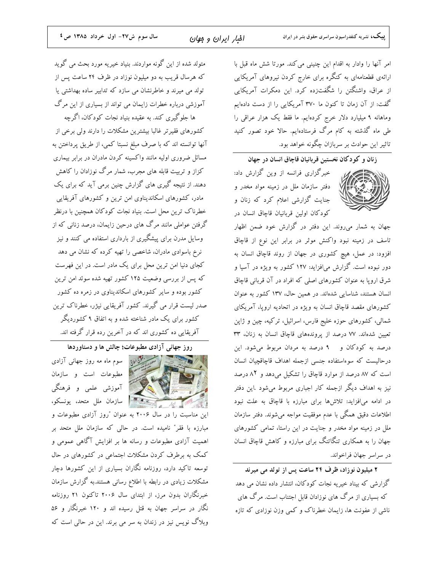امر آنها را وادار به اقدام این چنینی می کند. مورتا شش ماه قبل با ارائهی قطعنامهای به کنگره برای خارج کردن نیروهای آمریکایی از عراق، واشنگتن را شگفتزده کرد. این دمکرات آمریکایی گفت: از آن زمان تا کنون ما ۳۷۰ آمریکایی را از دست دادهایم وماهانه ۹ میلیارد دلار خرج کردهایم. ما فقط یک هزار عراقبی را طی ماه گذشته به کام مرگ فرستادهایم. حالا خود تصور کنید تاثیر این حوادث بر سربازان چگونه خواهد بود.

.<br>زنان و کودکان نخستین قربانیان قاچاق انسان در جهان



خبرگزاری فرانسه از وین گزارش داد: دفتر سازمان ملل در زمینه مواد مخدر و جنایت گزارشی اعلام کرد که زنان و کودکان اولین قربانیان قاچاق انسان در

جهان به شمار میروند. این دفتر در گزارش خود ضمن اظهار تاسف در زمینه نبود واکنش موثر در برابر این نوع از قاچاق افزود: در عمل، هیچ کشوری در جهان از روند قاچاق انسان به دور نبوده است. گزارش می|فزاید: ۱۲۷ کشور به ویژه در آسیا و شرق اروپا به عنوان کشورهای اصلی که افراد در آن قربانی قاچاق انسان هستند، شناسایی شدهاند. در همین حال، ۱۳۷ کشور به عنوان کشورهای مقصد قاچاق انسان به ویژه در اتحادیه اروپا، آمریکای شمالی، کشورهای حوزه خلیج فارس، اسرائیل، ترکیه، چین و ژاپن تعیین شدهاند. ۷۷ درصد از پروندههای قاچاق انسان به زنان، ۳۳ درصد به کودکان و ۹ درصد به مردان مربوط میشود. این درحالیست که سوءاستفاده جنسی ازجمله اهداف قاچاقچیان انسان است که ۸۷ درصد از موارد قاچاق را تشکیل میدهد و ۸۲ درصد نیز به اهداف دیگر ازجمله کار اجباری مربوط میشود .این دفتر در ادامه می|فزاید: تلاشها برای مبارزه با قاچاق به علت نبود اطلاعات دقیق همگی با عدم موفقیت مواجه میشوند. دفتر سازمان ملل در زمینه مواد مخدر و جنایت در این راستا، تمامی کشورهای جهان را به همکاری تنگاتنگ برای مبارزه و کاهش قاچاق انسان در سراسر جهان فراخواند.

۲ میلیون نوزاد، ظرف ۲۴ ساعت پس از تولد می میرند گزارشی که بیناد خیریه نجات کودکان، انتشار داده نشان می دهد که بسیاری از مرگ های نوزادان قابل اجتناب است. مرگ های ناشی از عفونت ها، زایمان خطرناک و کمی وزن نوزادی که تازه

متولد شده از این گونه مواردند. بنیاد خیریه مورد بحث می گوید که هرسال قریب به دو میلیون نوزاد در ظرف ۲۴ ساعت پس از تولد می میرند و خاطرنشان می سازد که تدابیر ساده بهداشتی یا آموزشی درباره خطرات زایمان می تواند از بسیاری از این مرگ

ها جلوگیری کند. به عقیده بنیاد نجات کودکان، اگرچه کشورهای فقیرتر غالبا بیشترین مشکلات را دارند ولی برخی از آنها توانسته اند که با صرف مبلغ نسبتا کمی، از طریق پرداختن به مسائل ضروری اولیه مانند واکسینه کردن مادران در برابر بیماری کزاز و تربیت قابله های مجرب، شمار مرگ نوزادان را کاهش دهند. از نتیجه گیری های گزارش چنین برمی آید که برای یک مادر، کشورهای اسکاندیناوی امن ترین و کشورهای آفریقایی خطرناک ترین محل است. بنیاد نجات کودکان همچنین با درنظر گرفتن عواملی مانند مرگ های درحین زایمان، درصد زنانی که از وسایل مدرن برای پیشگیری از بارداری استفاده می کنند و نیز نرخ باسوادی مادران، شاخصی را تهیه کرده که نشان می دهد کجای دنیا امن ترین محل برای یک مادر است. در این فهرست که پس از بررسی وضعیت ۱۲۵ کشور تهیه شده سوئد امن ترین کشور بوده و سایر کشورهای اسکاندیناوی در زمره ده کشور صدر لیست قرار می گیرند. کشور آفریقایی نیژر، خطرناک ترین کشور برای یک مادر شناخته شده و به اتفاق ۹ کشوردیگر آفریقایی ده کشوری اند که در آخرین رده قرار گرفته اند.

روز جهانی آزادی مطبوعات؛ چالش ها و دستاوردها



بهگو*انای سوم ماه مه روز جهانی* آزادی مطبوعات است و سازمان آموزشی علمی و فرهنگی استان میکند.<br>مستقیمات استان استان مال متحد، یونسکو،

این مناسبت را در سال ۲۰۰۶ به عنوان "روز آزادی مطبوعات و مبارزه با فقر" نامیده است. در حالی که سازمان ملل متحد بر اهمیت آزادی مطبوعات و رسانه ها بر افزایش آگاهی عمومی و کمک به برطرف کردن مشکلات اجتماعی در کشورهای در حال توسعه تاکید دارد، روزنامه نگاران بسیاری از این کشورها دچار مشکلات زیادی در رابطه با اطلاع رسانی هستند.به گزارش سازمان خبرنگاران بدون مرز، از ابتدای سال ۲۰۰۶ تاکنون ۲۱ روزنامه نگار در سراسر جهان به قتل رسیده اند و ۱۲۰ خبرنگار و ۵۶ وبلاگ نویس نیز در زندان به سر می برند. این در حالی است که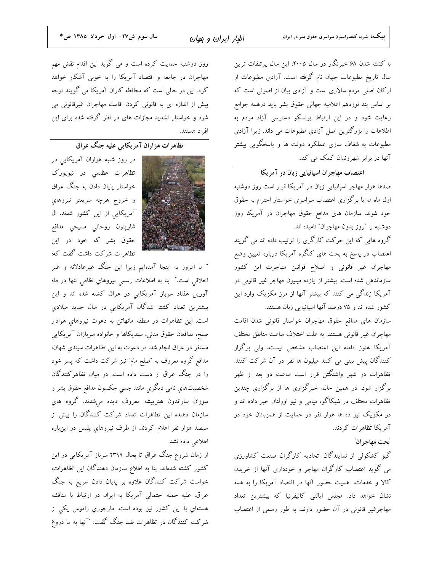با کشته شدن ۶۸ خبرنگار در سال ۲۰۰۵، این سال پرتلفات ترین سال تاریخ مطبوعات جهان نام گرفته است. آزادی مطبوعات از ارکان اصلی مردم سالاری است و آزادی بیان از اصولی است که بر اساس بند نوزدهم اعلامیه جهانی حقوق بشر باید درهمه جوامع رعایت شود و در این ارتباط یونسکو دسترسی آزاد مردم به اطلاعات را بزرگترین اصل آزادی مطبوعات می داند. زیرا آزادی مطبوعات به شفاف سازی عملکرد دولت ها و پاسخگویی بیشتر آنها در برابر شهروندان کمک می کند.

اعتصاب مهاجران اسپانیایی زبان در آمریکا صدها هزار مهاجر اسپانیایی زبان در آمریکا قرار است روز دوشنبه اول ماه مه با برگزاری اعتصاب سراسری خواستار احترام به حقوق خود شوند. سازمان های مدافع حقوق مهاجران در آمریکا روز دوشنبه را "روز بدون مهاجران" نامیده اند.

گروه هایی که این حرکت کارگری را ترتیب داده اند می گویند اعتصاب در پاسخ به بحث های کنگره آمریکا درباره تعیین وضع مهاجران غیر قانونی و اصلاح قوانین مهاجرت این کشور سازماندهی شده است. بیشتر از یازده میلیون مهاجر غیر قانونی در آمریکا زندگی می کنند که بیشتر آنها از مرز مکزیک وارد این کشور شده اند و ۷۵ درصد آنها اسپانیایی زبان هستند.

سازمان های مدافع حقوق مهاجران خواستار قانونی شدن اقامت مهاجران غیر قانونی هستند. به علت اختلاف ساعت مناطق مختلف آمریکا هنوز دامنه این اعتصاب مشخص نیست، ولی برگزار کنندگان پیش بینی می کنند میلیون ها نفر در آن شرکت کنند. تظاهرات در شهر واشنگتن قرار است ساعت دو بعد از ظهر برگزار شود. در همین حال، خبرگزاری ها از برگزاری چندین تظاهرات مختلف در شیکاگو، میامی و نیو اورلئان خبر داده اند و در مکزیک نیز ده ها هزار نفر در حمایت از همزبانان خود در آمریکا تظاهرات کردند.

### 'بحث مهاجران'

گیو کشکولی از نمایندگان اتحادیه کارگران صنعت کشاورزی می گوید اعتصاب کارگران مهاجر و خودداری آنها از خریدن کالا و خدمات، اهمیت حضور آنها در اقتصاد آمریکا را به همه نشان خواهد داد. مجلس ایالتی کالیفرنیا که بیشترین تعداد مهاجرغیر قانونی در آن حضور دارند، به طور رسمی از اعتصاب

روز دوشنبه حمایت کرده است و می گوید این اقدام نقش مهم مهاجران در جامعه و اقتصاد آمریکا را به خوبی آشکار خواهد کرد. این در حالی است که محافظه کاران آمریکا می گویند توجه بیش از اندازه ای به قانونی کردن اقامت مهاجران غیرقانونی می شود و خواستار تشدید مجازات های در نظر گرفته شده برای این افراد هستند.

تظاهرات هزاران آمريكايي عليه جنگ عراق



در روز شنبه هزاران آمریکایی در تظاهرات عظیمی در نیویورک خواستار پایان دادن به جنگ عراق و خروج هرچه سريعتر نيروهاي آمریکایی از این کشور شدند. ال شارپتون روحاني مسيحى مدافع حقوق بشر که خود در این تظاهرات شرکت داشت گفت که:

" ما امروز به اینجا آمدهایم زیرا این جنگ غیرعادلانه و غیر اخلاقی است." بنا به اطلاعات رسمی نیروهایِ نظامی تنها در ماه آوریل هفتاد سرباز آمریکایی در عراق کشته شده اند و این بیشترین تعداد کشته شدگان آمریکایی در سال جدید میلادی است. اين تظاهرات در منطقه مانهاتن به دعوت نيروهاي هوادار صلح، مدافعان حقوق مدنى، سنديكاها و خانواده سربازان آمريكايي مستقر در عراق انجام شد. در دعوت به این تظاهرات سیندی شهان، مدافع گروه معروف به ″صلح مام″ نیز شرکت داشت که پسر خود را در جنگ عراق از دست داده است. در میان تظاهرکنندگان شخصيتهاي نامي ديگري مانند جسي جکسون مدافع حقوق بشر و سوزان ساراندون هنرپیشه معروف دیده میشدند. گروه های سازمان دهنده این تظاهرات تعداد شرکت کنندگان را بیش از سیصد هزار نفر اعلام کردند. از طرف نیروهای پلیس در اینباره اطلاعی داده نشد.

از زمان شروع جنگ عراق تا بحال ۲۳۹۹ سرباز آمریکایی در این کشور کشته شدهاند. بنا به اطلاع سازمان دهندگان این تظاهرات، خواست شرکت کنندگان علاوه بر پایان دادن سریع به جنگ عراق، علیه حمله احتمالی آمریکا به ایران در ارتباط با مناقشه هستهاي با اين كشور نيز بوده است. مارجوري راموس يكي از شرکت کنندگان در تظاهرات ضد جنگ گفت: "آنها به ما دروغ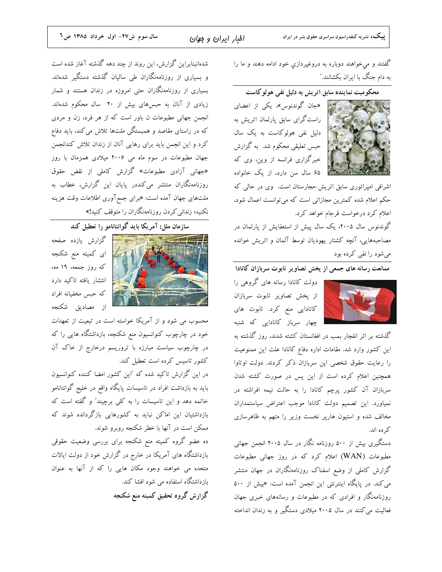گفتند و میخواهند دوباره به دروغپردازي خود ادامه دهند و ما را به دام جنگ با ایران بکشانند.″

محکومیت نماینده سابق اتریش به دلیل نفی هولوکاست

«جان گوندنوس»، یکی از اعضای راست گرای سابق پارلمان اتریش به دلیل نفی هولوکاست به یک سال حبس تعلیقی محکوم شد. به گزارش خبرگزاری فرانسه از وین، وی که من از یک خانواده هم سال سن دارد، از یک خانواده



اشرافی امپراتوری سابق اتریش-مجارستان است. وی در حالی که حکم اعلام شده کمترین مجازاتی است که میتوانست اعمال شود، اعلام کرد درخواست فرجام خواهد کرد.

گوندنوس سال ۲۰۰۵، یک سال پیش از استعفایش از پارلمان در مصاحبههایی، آنچه کشتار یهودیان توسط آلمان و اتریش خوانده میشود را نفی کرده بود

ممانعت رسانه های جمعی از پخش تصاویر تابوت سربازان کانادا



دولت کانادا رسانه های گروهی را از پخش تصاویر تابوت سربازان کانادایی منع کرد. تابوت های چهار سرباز كانادايي كه شنبه

گذشته بر اثر انفجار بمب در افغانستان کشته شدند، روز گذشته به این کشور وارد شد. مقامات اداره دفاع کانادا علت این ممنوعیت را رعایت حقوق شخصی این سربازان ذکر کردند. دولت اوتاوا همچنین اعلام کرده است از این پس در صورت کشته شدن سربازان آن کشور پرچم کانادا را به حالت نیمه افراشته در نمیاورد. این تصمیم دولت کانادا موجب اعتراض سیاستمداران مخالف شده و استیون هارپر نخست وزیر را متهم به ظاهرسازی که ده اند.

دستگیری بیش از ۵۰۰ روزنامه نگار در سال ۲۰۰۵ انجمن جهانی مطبوعات (WAN) اعلام کرد که در روز جهانی مطبوعات گزارش کاملی از وضع اسفناک روزنامهنگاران در جهان منتشر می کند. در پایگاه اینترنتی این انجمن آمده است: «بیش از ۵۰۰ روزنامهنگار و افرادی که در مطبوعات و رسانههای خبری جهان فعالیت می کنند در سال ۲۰۰۵ میلادی دستگیر و به زندان انداخته

شدهانبنابراین گزارش، این روند از چند دهه گذشته آغاز شده است و بسیاری از روزنامهنگاران طی سالیان گذشته دستگیر شدهاند. بسیاری از روزنامهنگاران حتی امروزه در زندان هستند و شمار زیادی از آنان به حبس های بیش از ۲۰ سال محکوم شدهاند. انجمن جهانی مطبوعات ن باور است که از هر فرد، زن و مردی که در راستای مقاصد و همبستگی ملتها تلاش می کند، باید دفاع کرد و این انجمن باید برای رهایی آنان از زندان تلاش کندانجمن جهان مطبوعات در سوم ماه می ۲۰۰۶ میلادی همزمان با روز «جهانی آزادی مطبوعات» گزارش کاملی از نقض حقوق روزنامهنگاران منتشر میکنددر پایان این گزارش، خطاب به ملتهای جهان آمده است: «برای جمع آوری اطلاعات وقت هزینه نکنید؛ زندان<sub>ی کر</sub>دن روزنامهنگاران را متوقف کنید!»

.<br>سازمان ملل: آمریکا باید گوانتانامو را تعطیل کند



أ گزارش يازده صفحه ای کمیته منع شکنجه که روز جمعه، ۱۹ مه، انتشار يافته تاكيد دارد كه حبس مخفيانه افراد از مصادیق شکنجه

محسوب می شود و از آمریکا خواسته است در تبعیت از تعهدات .<br>خود در چارچوب کنوانسیون منع شکنجه، بازداشتگاه هایی را که در چارچوب سیاست مبارزه با تروریسم درخارج از خاک آن کشور تاسیس کرده است تعطیل کند.

در این گزارش تاکید شده که "این کشور امضا کننده کنوانسیون باید به بازداشت افراد در تاسیسات پایگاه واقع در خلیج گوانتانامو خاتمه دهد و این تاسیسات را به کلی برچیند" و گفته است که بازداشتیان این اماکن نباید به کشورهایی بازگردانده شوند که ممکن است در آنها با خطر شکنجه روبرو شوند.

ده عضو گروه کمیته منع شکنجه برای بررسی وضعیت حقوقی بازداشتگاه های آمریکا در خارج در گزارش خود از دولت ایالات متحده می خواهند وجود مکان هایی را که از آنها به عنوان بازداشتگاه استفاده می شود افشا کند. گزارش گروه تحقیق کمیته منع شکنجه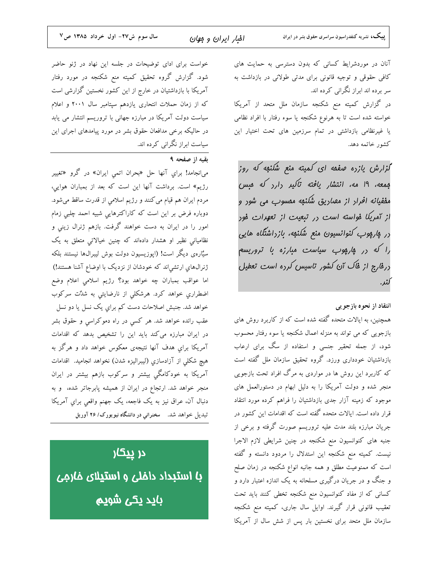آنان در موردشرایط کسانی که بدون دسترسی به حمایت های کافی حقوقی و توجیه قانونی برای مدتی طولانی در بازداشت به سر برده اند ابراز نگرانی کرده اند. در گزارش کمیته منع شکنجه سازمان ملل متحد از آمریکا خواسته شده است تا به هرنوع شکنجه یا سوء رفتار با افراد نظامی یا غیرنظامی بازداشتی در تمام سرزمین های تحت اختیار این کشور خاتمه دهد.

گزارش یازده صفقه ای کمیته منع شکنهه که روز قمعه، ۱۹ مه، انتش*ار یافته تاکید دارد که* میس مففی*انه افرا*ر ا*ز مصا*ریق شُ*ل*نهِه ممسوبِ می شور و از آمریکا فواسته است در تبعیت از تعهرات فور ر, پارپوب كنوانسيون منع شكنبه، بازراشتگاه هايى را که در پارپوب سیاست مبارزه با تروریسم ررفارج از فاک آن کشور تاسیس کرده است تعطیل ننر.

انتقاد از نحوه بازجويي

همچنین، به ایالات متحده گفته شده است که از کاربرد روش های بازجویی که می تواند به منزله اعمال شکنجه یا سوء رفتار محسوب شود، از جمله تحقیر جنسی و استفاده از سگ برای ارعاب بازداشتیان خودداری ورزد. گروه تحقیق سازمان ملل گفته است که کاربرد این روش ها در مواردی به مرگ افراد تحت بازجویی منجر شده و دولت آمریکا را به دلیل ابهام در دستورالعمل های موجود که زمینه آزار جدی بازداشتیان را فراهم کرده مورد انتقاد قرار داده است. ایالات متحده گفته است که اقدامات این کشور در جریان مبارزه بلند مدت علیه تروریسم صورت گرفته و برخی از جنبه های کنوانسیون منع شکنجه در چنین شرایطی لازم الاجرا نیست. کمیته منع شکنجه این استدلال را مردود دانسته و گفته است که ممنوعیت مطلق و همه جانبه انواع شکنجه در زمان صلح و جنگ و در جریان درگیری مسلحانه به یک اندازه اعتبار دارد و کسانی که از مفاد کنوانسیون منع شکنجه تخطی کنند باید تحت تعقیب قانونی قرار گیرند. اوایل سال جاری، کمیته منع شکنجه سازمان ملل متحد برای نخستین بار پس از شش سال از آمریکا

خواست برای ادای توضیحات در جلسه این نهاد در ژنو حاضر شود. گزارش گروه تحقیق کمیته منع شکنجه در مورد رفتار آمریکا با بازداشتیان در خارج از این کشور نخستین گزارشی است که از زمان حملات انتحاری یازدهم سیتامبر سال ۲۰۰۱ و اعلام سیاست دولت آمریکا در مبارزه جهانی با تروریسم انتشار می یابد در حالیکه برخی مدافعان حقوق بشر در مورد پیامدهای اجرای این سیاست ابراز نگرانی کرده اند.

بقيه از صفحه ۹

مي|نجامد! براي آنها حل «بحران اتمي ايران» در گرو «تغيير رژیم» است. برداشت آنها این است که بعد از بمباران هوایی، مردم ایران هم قیام می کنند و رژیم اسلامی از قدرت ساقط میشود. دوباره فرض بر این است که کاراکترهایی شبیه احمد چلبی زمام امور را در ایران به دست خواهند گرفت. بازهم ژنرال زینی و نظامیانی نظیر او هشدار دادهاند که چنین خیالاتی متعلق به یک سیٌّارەی دیگر است! (اپوزیسیون دولت بوش لیبرال&ا نیستند بلکه ژنرالهای ارتشی|ند که خودشان از نزدیک با اوضاع آشنا هستند!) اما عواقب بمباران چه خواهد بود؟ رژیم اسلامی اعلام وضع اضطراری خواهد کرد. هرشکلی از نارضایتی به شدٌت سرکوب خواهد شد. جنبش اصلاحات دست کم براي يک نسل يا دو نسل عقب رانده خواهد شد. هر کسی در راه دموکراسی و حقوق بشر در ایران مبارزه می کند باید این را تشخیص بدهد که اقدامات آمریکا برای هدف آنها نتیجهی معکوس خواهد داد و هرگز به هیچ شکلی از آزادسازی (لیبرالیزه شدن) نخواهد انجامید. اقدامات آمریکا به خودکامگی بیشتر و سرکوب بازهم بیشتر در ایران منجر خواهد شد. ارتجاع در ایران از همیشه پابرجاتر شده، ًو به دنبال آن، عراق نیز به یک فاجعه، یک جهنم واقعی برای آمریکا تبدیل خواهد شد. سخنرانی در دانشگاه نیویورک/ ۲۶ آوریل

در پیکار

با استبداد داغلی و استیلای غارمی باید یکی شویم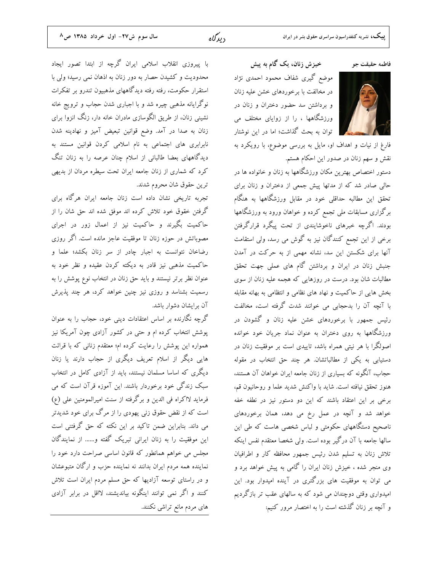فاطمه حقيقت جو

خیزش زنان، یک گام به پیش موضع گیری شفاف محمود احمدی نژاد در مخالفت با برخوردهای خشن علیه زنان و برداشتن سد حضور دختران و زنان در ورزشگاهها ، را از زوایای مختلف می توان به بحث گذاشت؛ اما در این نوشتار

.<br>فارغ از نیات و اهداف او، مایل به بررسی موضوع، با رویکرد به نقش و سهم زنان در صدور این احکام هستم.

دستور اختصاص بهترین مکان ورزشگاهها به زنان و خانواده ها در حالی صادر شد که از مدتها پیش جمعی از دختران و زنان برای تحقق این مطالبه حداقلی خود در مقابل ورزشگاهها به هنگام برگزاری مسابقات ملی تجمع کرده و خواهان ورود به ورزشگاهها بودند. اگرچه خبرهای ناخوشایندی از تحت پیگرد قرارگرفتن برخی از این تجمع کنندگان نیز به گوش می رسد، ولی استقامت آنها برای شکستن این سد، نشانه مهمی از به حرکت در آمدن جنبش زنان در ایران و برداشتن گام های عملی جهت تحقق مطالبات شان بود. درست در روزهایی که هجمه علیه زنان از سوی بخش هایی از حاکمیت و نهاد های نظامی و انتظامی به بهانه مقابله با آنچه آن را بدحجابی می خوانند شدت گرفته است، مخالفت رئیس جمهور با برخوردهای خشن علیه زنان و گشودن در ورزشگاهها به روی دختران به عنوان نماد جریان خود خوانده اصولگرا با هر نیتی همراه باشد، تاییدی است بر موفقیت زنان در دستیابی به یکی از مطالباتشان. هر چند حق انتخاب در مقوله حجاب، آنگونه که بسیاری از زنان جامعه ایران خواهان آن هستند، هنوز تحقق نيافته است. شايد با واكنش شديد علما و روحانيون قم، برخی بر این اعتقاد باشند که این دو دستور نیز در نطفه خفه خواهد شد و آنچه در عمل رخ می دهد، همان برخوردهای ناصحیح دستگاههای حکومتی و لباس شخصی هاست که طی این سالها جامعه با آن درگیر بوده است. ولی شخصا معتقدم نفس اینکه تلاش زنان به تسليم شدن رئيس جمهور محافظه كار و اطرافيان وی منجر شده ، خیزش زنان ایران را گامی به پیش خواهد برد و می توان به موفقیت های بزرگتری در آینده امیدوار بود. این امیدواری وقتی دوچندان می شود که به سالهای عقب تر بازگردیم و آنچه بر زنان گذشته است را به اختصار مرور کنیم:

با پیروزی انقلاب اسلامی ایران گرچه از ابتدا تصور ایجاد محدودیت و کشیدن حصار به دور زنان به اذهان نمی رسید؛ ولی با استقرار حکومت، رفته رفته دیدگاههای مذهبیون تندرو بر تفکرات نوگرایانه مذهبی چیره شد و با اجباری شدن حجاب و ترویج خانه نشینی زنان، از طریق الگوسازی مادران خانه دار، زنگ انزوا برای زنان به صدا در آمد. وضع قوانین تبعیض آمیز و نهادینه شدن نابرابری های اجتماعی به نام اسلامی کردن قوانین مستند به دیدگاههای بعضا طالبانی از اسلام چنان عرصه را به زنان تنگ کرد که شماری از زنان جامعه ایران تحت سیطره مردان از بدیهی ترين حقوق شان محروم شدند.

تجربه تاریخی نشان داده است زنان جامعه ایران هرگاه برای گرفتن خقوق خود تلاش کرده اند موفق شده اند حق شان را از حاکمیت بگیرند و حاکمیت نیز از اعمال زور در اجرای مصوباتش در حوزه زنان تا موفقیت عاجز مانده است. اگر روزی رضاخان نتوانست به اجبار چادر از سر زنان بکشد؛ علما و حاکمیت مذهبی نیز قادر به دیکته کردن عقیده و نظر خود به عنوان نظر برتر نیستند و باید حق زنان در انتخاب نوع پوشش را به رسمیت بشناسد و روزی نیز چنین خواهد کرد، هر چند پذیرش آن برایشان دشوار باشد.

گرچه نگارنده بر اساس اعتقادات دینی خود، حجاب را به عنوان پوشش انتخاب کرده ام و حتی در کشور آزادی چون آمریکا نیز همواره این پوشش را رعایت کرده ام؛ معتقدم زنانی که با قرائت هایی دیگر از اسلام تعریف دیگری از حجاب دارند یا زنان دیگری که اساسا مسلمان نیستند، باید از آزادی کامل در انتخاب سبک زندگی خود برخوردار باشند. این آموزه قرآن است که می فرمايد لااكراه في الدين و برگرفته از سنت اميرالمومنين علي (ع) است که از نقض حقوق زنی یهودی را از مرگ برای خود شدیدتر می داند. بنابراین ضمن تاکید بر این نکته که حق گرفتنی است این موفقیت را به زنان ایرانی تبریک گفته و...... از نمایندگان مجلس می خواهم همانطور که قانون اساسی صراحت دارد خود را نماینده همه مردم ایران بدانند نه نماینده حزب و ارگان متبوعشان و در راستای توسعه آزادیها که حق مسلم مردم ایران است تلاش کنند و اگر نمی توانند اینگونه بیاندیشند، لااقل در برابر آزادی های مردم مانع تراشی نکنند.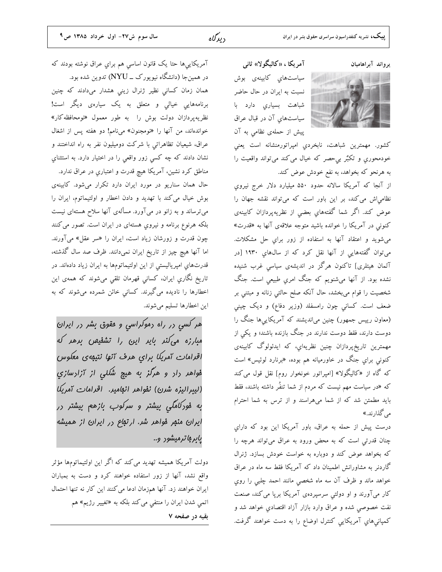یرواند آبراهامیان

كشور. مهمترين شباهت، نابخردي امپراتورمنشانه است يعنى خودمحوری و تکبٌر بیحصر که خیال میکند میتواند واقعیت را به هرنحو که بخواهد، به نفع خودش عوض کند.

آمريكا ، «كاليگولا» ثان<sub>ى</sub>

سياستهاي كابينهى بوش

نسبت به ایران در حال حاضر

شباهت بسیاری دارد با

سیاستهای آن در قبال عراق

پیش از حملهی نظامی به آن

از آنجا که آمریکا سالانه حدود ۵۵۰ میلیارد دلار خرج نیروي نظامی اش می کند، بر این باور است که می تواند نقشه جهان را عوض کند. اگر شما گفتههای بعضی از نظریهپردازان کابینهی کنونی در آمریکا را خوانده باشید متوجه علاقهی آنها به «قدرت» می شوید و اعتقاد آنها به استفاده از زور برای حل مشکلات. می توان گفتههایی از آنها نقل کرد که از سال های ۱۹۳۰ [در آلمان هیتلری] تاکنون هرگز در اندیشهی سیاسی غرب شنیده نشده بود. از آنها میشنویم که جنگ امری طبیعی است. جنگ شخصیت را قوام میبخشد، حال آنکه صلح حالتی زنانه و مبتنی بر ضعف است. کسانی چون رامسفلد (وزیر دفاع) و دیک چینی (معاون رییس جمهور) چنین می|ندیشند که آمریکاییها جنگ را دوست دارند، فقط دوست ندارند در جنگ بازنده باشند؛ و یکی از مهمترین تاریخپردازان چنین نظریهای، که ایدئولوگ کابینهی کنونی برای جنگ در خاورمیانه هم بوده، «برنارد لوئیس» است که گاه از «کالیگولا» [امپراتور خونخوار روم] نقل قول می کند که «در سیاست مهم نیست که مردم از شما تنفُر داشته باشند، فقط باید مطمئن شد که از شما میهراسند و از ترس به شما احترام مي گذارند.»

درست پیش از حمله به عراق، باور آمریکا این بود که دارای چنان قدرتی است که به محض ورود به عراق میتواند هرچه را که بخواهد عوض کند و دوباره به خواست خودش بسازد. ژنرال گاردنر به مشاورانش اطمینان داد که آمریکا فقط سه ماه در عراق خواهد ماند و ظرف آن سه ماه شخصی مانند احمد چلبی را روی کار میآورند و او دولتی سرسپردهی آمریکا برپا میکند، صنعت نفت خصوصی شده و عراق وارد بازار آزاد اقتصادی خواهد شد و کمپانیهای آمریکایی کنترل اوضاع را به دست خواهند گرفت.

آمريكايىها حتا يک قانون اساسى هم براي عراق نوشته بودند كه در همینجا (دانشگاه نیویورک ــ NYU) تدوین شده بود. همان زمان کسانی نظیر ژنرال زینی هشدار میدادند که چنین برنامههایی خیالی و متعلق به یک سیارهی دیگر است! نظریهپردازان دولت بوش را به طور معمول «نومحافظهکار» خواندهاند، من آنها را «نومجنون» مینامم! دو هفته پس از اشغال عراق، شيعيان تظاهراتي با شركت دوميليون نفر به راه انداختند و نشان دادند که چه کسی زور واقعی را در اختیار دارد. به استثناي مناطق کرد نشین، آمریکا هیچ قدرت و اعتباري در عراق ندارد. حال همان سناریو در مورد ایران دارد تکرار میشود. کابینهی بوش خیال می کند با تهدید و دادن اخطار و اولتیماتوم، ایران را میترساند و به زانو در میآورد. مسألهی آنها سلاح هستهای نیست بلکه هرنوع برنامه و نیروي هستهای در ایران است. تصور می کنند چون قدرت و زورشان زیاد است، ایران را «سر عقل» می آورند. اما آنها هیچ چیز از تاریخ ایران نمیدانند. ظرف صد سال گذشته، قدرتهاي امپرياليستې از اين اولتيماتومها به ايران زياد دادهاند. در تاریخ نگاری ایران، کسانی قهرمان تلقی میشوند که همهی این اخطارها را نادیده میگیرند. کسانیِ خائن شمرده میشوند که به این اخطارها تسلیم میشوند.

هر کسی در راه دموکراسی و مقوق بشر در ایران مبارزه می کنر بایر این را تشفیص برهر که اقرامات آمريكا براي هرف آنها نتيههى معكوس فواهر رار و هرگز به هیچ شکلی از آزارسازی (ليبراليزه شرن) نفواهر انڢامير. اقرامات آمريكا به فورکامگی بیشتر و سرکوب بازهم بیشتر در ایران منبر فواهر شر. ارتباع در ایران از همیشه يابر با ترميشور و..

دولت آمریکا همیشه تهدید می کند که اگر این اولتیماتومها مؤثر واقع نشد، آنها از زور استفاده خواهند کرد و دست به بمباران ایران خواهند زد. آنها همزمان ادعا می کنند این کار نه تنها احتمال اتمی شدن ایران را منتفی می کند بلکه به «تغییر رژیم» هم بقیه در صفحه ۷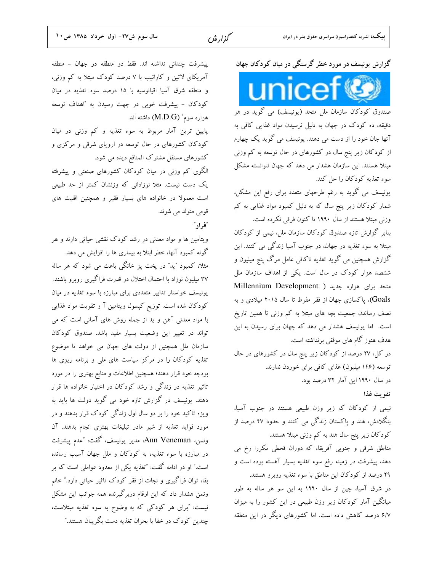ييشرفت چنداني نداشته اند. فقط دو منطقه در جهان – منطقه آمریکای لاتین و کارائیب با ۷ درصد کودک مبتلا به کم وزنی، و منطقه شرق آسیا اقیانوسیه با ۱۵ درصد سوء تغذیه در میان کودکان - پیشرفت خوبی در جهت رسیدن به "اهداف توسعه هزاره سوم" (M.D.G) داشته اند.

پایین ترین آمار مربوط به سوء تغذیه و کم وزنی در میان کودکان کشورهای در حال توسعه در اروپای شرقی و مرکزی و کشورهای مستقل مشترک المنافع دیده می شود.

الگوی کم وزنی در میان کودکان کشورهای صنعتی و پیشرفته یک دست نیست. مثلا نوزادانی که وزنشان کمتر از حد طبیعی است معمولا در خانواده های بسیار فقیر و همچنین اقلیت های قومي متولد مي شوند.

"فرار"

ویتامین ها و مواد معدنی در رشد کودک نقشی حیاتی دارند و هر گونه کمبود آنها، خطر ابتلا به بیماری ها را افزایش می دهد.

مثلا، کمبود "ید" در پخت پز خانگی باعث می شود که هر ساله ۳۷ میلیون نوزاد با احتمال اختلال در قدرت فراگیری روبرو باشند. یونیسف خواستار تدابیر متعددی برای مبارزه با سوء تغذیه در میان کودکان شده است. توزیع کپسول ویتامین آ و تقویت مواد غذایی با مواد معدنی آهن و ید از جمله روش های آسانی است که می تواند در تغییر این وضعیت بسیار مفید باشد. صندوق کودکان سازمان ملل همچنین از دولت های جهان می خواهد تا موضوع تغذیه کودکان را در مرکز سیاست های ملی و برنامه ریزی ها بودجه خود قرار دهند؛ همچنین اطلاعات و منابع بهتری را در مورد تاثیر تغذیه در زندگی و رشد کودکان در اختیار خانواده ها قرار دهند. یونیسف در گزارش تازه خود می گوید دولت ها باید به ویژه تاکید خود را بر دو سال اول زندگی کودک قرار بدهند و در مورد فواید تغذیه از شیر مادر تبلیغات بهتری انجام بدهند. آن ونمن، Ann Veneman، مدير يونيسف، گفت: "عدم پيشرفت در مبارزه با سوء تغذیه، به کودکان و ملل جهان آسیب رسانده است." او در ادامه گفت: "تغذیه یکی از معدود عواملی است که بر بقا، توان فراگیری و نجات از فقر کودک تاثیر حیاتی دارد.″ خانم ونمن هشدار داد که این ارقام دربرگیرنده همه جوانب این مشکل نیست: "برای هر کودکی که به وضوح به سوء تغذیه مبتلاست، چندین کودک در خفا یا بحران تغذیه دست یگر بیان هستند." گزارش یونیسف در مورد خطر گرسنگی در میان کودکان جهان

صندوق کودکان سازمان ملل متحد (یونیسف) می گوید در هر دقیقه، ده کودک در جهان به دلیل نرسیدن مواد غذایی کافی به آنها جان خود را از دست می دهند. یونیسف می گوید یک چهارم از کودکان زیر پنج سال در کشورهای در حال توسعه به کم وزنی مبتلا هستند. این سازمان هشدار می دهد که جهان نتوانسته مشکل سوء تغذیه کودکان را حل کند.

یونیسف می گوید به رغم طرحهای متعدد برای رفع این مشکل، شمار کودکان زیر پنج سال که به دلیل کمبود مواد غذایی به کم وزنی مبتلا هستند از سال ۱۹۹۰ تا کنون فرقی نکرده است.

بنابر گزارش تازه صندوق کودکان سازمان ملل، نیمی از کودکان مبتلا به سوء تغذیه در جهان، در جنوب آسیا زندگی می کنند. این گزارش همچنین می گوید تغذیه ناکافی عامل مرگ پنج میلیون و ششصد هزار کودک در سال است. یکی از اهداف سازمان ملل Millennium Development ) متحد برای هزاره جدید ( Goals)، پاکسازی جهان از فقر مفرط تا سال ۲۰۱۵ میلادی و به نصف رساندن جمعیت بچه های مبتلا به کم وزنی تا همین تاریخ است. اما یونیسف هشدار می دهد که جهان برای رسیدن به این هدف هنوز گام های موفقی برنداشته است. در کل، ۲۷ درصد از کودکان زیر پنج سال در کشورهای در حال

توسعه (۱۴۶ میلیون) غذای کافی برای خوردن ندارند. در سال ۱۹۹۰ این آمار ۳۲ درصد بود.

تقويت غذا

نیمی از کودکان که زیر وزن طبیعی هستند در جنوب آسیا، بنگلادش، هند و پاکستان زندگی می کنند و حدود ۴۷ درصد از کودکان زیر پنج سال هند به کم وزنبی مبتلا هستند.

مناطق شرقی و جنوبی آفریقا، که دوران قحطی مکررا رخ می دهد، پیشرفت در زمینه رفع سوء تغذیه بسیار آهسته بوده است و ۲۹ درصد از کودکان این مناطق با سوء تغذیه روبرو هستند.

در شرق آسیا، چین از سال ۱۹۹۰ به این سو هر ساله به طور میانگین آمار کودکان زیر وزن طبیعی در این کشور را به میزان ۶/۷ درصد کاهش داده است. اما کشورهای دیگر در این منطقه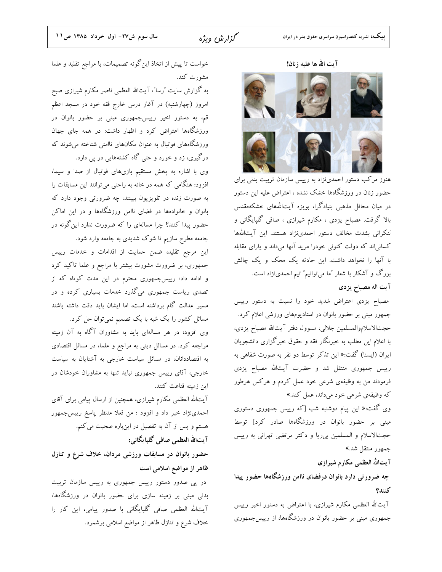گزارش ویژه

خواست تا پیش از اتخاذ این گونه تصمیمات، با مراجع تقلید و علما مشورت كند.

به گزارش سایت "رسا"، آیتالله العظمی ناصر مکارم شیرازی صبح امروز (چهارشنبه) در آغاز درس خارج فقه خود در مسجد اعظم قم، به دستور اخیر رییسجمهوری مبنی بر حضور بانوان در ورزشگاهها اعتراض کرد و اظهار داشت: در همه جای جهان ورزشگاههای فوتبال به عنوان مکانهای ناامنی شناخته میشوند که درگیری، زد و خورد و حتی گاه کشتههایی در پی دارد.

وی با اشاره به پخش مستقیم بازیهای فوتبال از صدا و سیما، افزود: هنگامی که همه در خانه به راحتی میتوانند این مسابقات را به صورت زنده در تلویزیون ببینند، چه ضرورتی وجود دارد که بانوان و خانوادهها در فضای ناامن ورزشگاهها و در این اماکن حضور پیدا کنند؟ چرا مسالهای را که ضرورت ندارد این گونه در جامعه مطرح سازیم تا شوک شدیدی به جامعه وارد شود.

این مرجع تقلید، ضمن حمایت از اقدامات و خدمات رییس جمهوری، بر ضرورت مشورت بیشتر با مراجع و علما تاکید کرد و ادامه داد: رییسجمهوری محترم در این مدت کوتاه که از تصدی ریاست جمهوری میگذرد خدمات بسیاری کرده و در مسیر عدالت گام برداشته است، اما ایشان باید دقت داشته باشند مسائل کشور را یک شبه با یک تصمیم نمیتوان حل کرد.

وی افزود: در هر مسالهای باید به مشاوران آگاه به آن زمینه مراجعه کرد. در مسائل دینی به مراجع و علما، در مسائل اقتصادی به اقتصاددانان، در مسائل سیاست خارجی به آشنایان به سیاست خارجی، آقای رییس جمهوری نباید تنها به مشاوران خودشان در این زمینه قناعت کنند.

آیتالله العظمی مکارم شیرازی، همچنین از ارسال پیامی برای آقای احمدینژاد خبر داد و افزود : من فعلا منتظر پاسخ رییسجمهور هستم و پس از آن به تفصیل در اینباره صحبت می کنم. آيتالله العظمى صافى گلپايگانى: حضور بانوان در مسابقات ورزشی مردان، خلاف شرع و تنازل

ظاهر از مواضع اسلامی است در پی صدور دستور رییس جمهوری به رییس سازمان تربیت بدنی مبنی بر زمینه سازی برای حضور بانوان در ورزشگاهها، آیتالله العظمی صافی گلپایگانی با صدور پیامی، این کار را

خلاف شرع و تنازل ظاهر از مواضع اسلامی برشمرد.

آيت الله ها عليه زنان!



هنوز مرکب دستور احمدینژاد به رییس سازمان تربیت بدنی برای حضور زنان در ورزشگاهها خشک نشده ، اعتراض علیه این دستور در میان محافل مذهبی بنیادگرا، بویژه آیتاللههای خشکهمقدس بالا گرفت. مصباح یزدی ، مکارم شیرازی ، صافی گلپایگانی و لنكراني بشدت مخالف دستور احمدىنژاد هستند. اين آيتاللهها کسانیاند که دولت کنونی خودرا مرید آنها میداند و یارای مقابله با آنها را نخواهد داشت. این حادثه یک محک و یک چالش بزرگ و آشکار با شعار "ما میتوانیم" تیم احمدینژاد است. آيت اله مصباح يزدى

مصباح یزدی اعتراض شدید خود را نسبت به دستور رییس جمهور مبنی بر حضور بانوان در استادیومهای ورزشی اعلام کرد. حجت|الاسلاموالمسلمین جلالی، مسوول دفتر آیت|لله مصباح یزدی، با اعلام این مطلب به خبرنگار فقه و حقوق خبرگزاری دانشجویان ایران (ایسنا) گفت:« این تذکر توسط دو نفر به صورت شفاهی به رییس جمهوری منتقل شد و حضرت آیتالله مصباح یزدی فرمودند من به وظیفهی شرعی خود عمل کردم و هرکس هرطور که وظیفهی شرعی خود میداند، عمل کند.»

وی گفت:« این پیام دوشنبه شب [که رییس جمهوری دستوری مبنی بر حضور بانوان در ورزشگاهها صادر کرد] توسط حجت|لاسلام و المسلمین بی٫ریا و دکتر مرتضی تهرانی به رییس جمهور منتقل شد.»

آيتالله العظمى مكارم شيرازى

چه ضرورتی دارد بانوان درفضای ناامن ورزشگاهها حضور پیدا كنند؟

آیتالله العظمی مکارم شیرازی، با اعتراض به دستور اخیر رییس جمهوری مبنی بر حضور بانوان در ورزشگاهها، از رییسجمهوری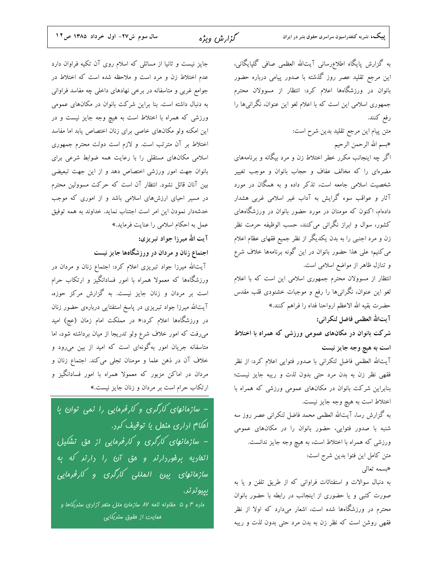جایز نیست و ثانیا از مسائلی که اسلام روی آن تکیه فراوان دارد عدم اختلاط زن و مرد است و ملاحظه شده است که اختلاط در جوامع غربی و متاسفانه در برخی نهادهای داخلی چه مفاسد فراوانی به دنبال داشته است. بنا براین شرکت بانوان در مکانهای عمومی ورزشی که همراه با اختلاط است به هیچ وجه جایز نیست و در این امکنه ولو مکانهای خاصی برای زنان اختصاص یابد اما مفاسد اختلاط بر آن مترتب است. و لازم است دولت محترم جمهوری اسلامی مکانهای مستقلی را با رعایت همه ضوابط شرعی برای بانوان جهت امور ورزشي اختصاص دهد و از اين جهت تبعيضي بین آنان قائل نشود. انتظار آن است که حرکت مسوولین محترم در مسیر احیای ارزشهای اسلامی باشد و از اموری که موجب خدشهدار نمودن این امر است اجتناب نماید. خداوند به همه توفیق عمل به احکام اسلامی را عنایت فرماید.» آيت الله ميرزا جواد تبريزي:

اجتماع زنان و مردان در ورزشگاهها جایز نیست

آیتالله میرزا جواد تبریزی اعلام کرد: اجتماع زنان و مردان در ورزشگاهها که معمولا همراه با امور فسادانگیز و ارتکاب حرام است بر مردان و زنان جایز نیست. به گزارش مرکز حوزه، آیتالله میرزا جواد تبریزی در پاسخ استفتایی دربارهی حضور زنان در ورزشگاهها اعلام کرد:« در مملکت امام زمان (عج) امید می رفت که امور خلاف شرع ولو تدریجا از میان برداشته شود، اما متاسفانه جریان امور بهگونهای است که امید از بین میرود و خلاف آن در ذهن علما و مومنان تجلَّى مي كند. اجتماع زنان و مردان در اماکن مزبور که معمولا همراه با امور فسادانگیز و ارتکاب حرام است بر مردان و زنان جایز نیست.»

– سازمانهای کارگری و کارفرمایی را نمی توان با اهکام اداری منقل یا توقیف کرد. – سازمانهای کارگری و کارفرمایی از مق تشکیل *اتفادیه بر*ف*وردارند و* مق *آن را دارنر که به* سازمانهای بین المللی کارگری و کارفرمایی پيونرنر.

ماده ۴ و ۵ مقاوله نامه ۸۷ سازمان ملل متقر آزاری سنریکاها و مم*ایت از هقو*ق سنری*کایی* 

به گزارش پایگاه اطلاعرسانی آیتالله العظمی صافی گلپایگانی، این مرجع تقلید عصر روز گذشته با صدور پیامی درباره حضور بانوان در ورزشگاهها اعلام کرد: انتظار از مسوولان محترم جمهوری اسلامی این است که با اعلام لغو این عنوان، نگرانیها را رفع كنند. متن پیام این مرجع تقلید بدین شرح است: «بسم الله الرحمن الرحيم اگر چه اینجانب مکرر خطر اختلاط زن و مرد بیگانه و برنامههای مضرهای را که مخالف عفاف و حجاب بانوان و موجب تغییر شخصیت اسلامی جامعه است، تذکر داده و به همگان در مورد ۔<br>آثار و عواقب سوء گرایش به آداب غیر اسلامی غربی هشدار دادهام، اکنون که مومنان در مورد حضور بانوان در ورزشگاههای کشور، سوال و ابراز نگرانی میکنند، حسب الوظیفه حرمت نظر زن و مرد اجنبی را به بدن یکدیگر از نظر جمیع فقهای عظام اعلام می کنیم؛ علی هذا حضور بانوان در این گونه برنامهها خلاف شرع و تنازل ظاهر از مواضع اسلامی است. انتظار از مسوولان محترم جمهوری اسلامی این است که با اعلام لغو این عنوان، نگرانیها را رفع و موجبات خشنودی قلب مقدس حضرت بقيه الله الاعظم ارواحنا فداه را فراهم كنند.» آيتالله العظمى فاضل لنكراني: شرکت بانوان در مکانهای عمومی ورزشی که همراه با اختلاط است به هیچ وجه جایز نیست آيتالله العظمى فاضل لنكراني با صدور فتوايي اعلام كرد: از نظر فقهی نظر زن به بدن مرد حتی بدون لذت و ریبه جایز نیست؛ بنابراین شرکت بانوان در مکانهای عمومی ورزشی که همراه با اختلاط است به هیچ وجه جایز نیست. به گزارش رسا، آیتالله العظمی محمد فاضل لنکرانی عصر روز سه شنبه با صدور فتوایی، حضور بانوان را در مکانهای عمومی ورزشی که همراه با اختلاط است، به هیچ وجه جایز ندانست. متن كامل اين فتوا بدين شرح است: «بسمه تعالى به دنبال سوالات و استفتائات فراوانی که از طریق تلفن و یا به صورت کتبی و یا حضوری از اینجانب در رابطه با حضور بانوان محترم در ورزشگاهها شده است، اشعار میدارد که اولا از نظر فقهی روشن است که نظر زن به بدن مرد حتی بدون لذت و ریبه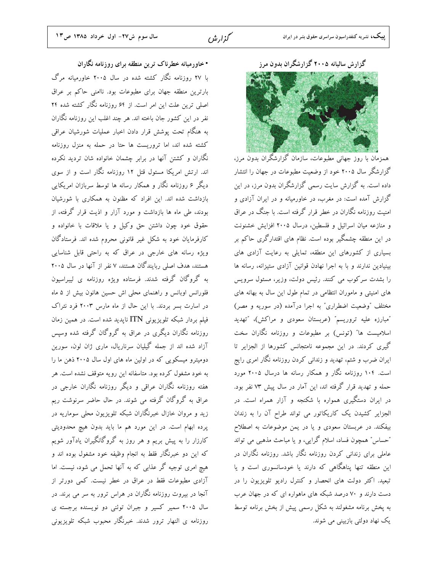گذارش<sup>ہ</sup>

• خاورمیانه خطرناک ترین منطقه برای روزنامه نگاران با ۲۷ روزنامه نگار کشته شده در سال ۲۰۰۵ خاورمیانه مرگ بارترین منطقه جهان برای مطبوعات بود. ناامنی حاکم بر عراق اصلی ترین علت این امر است. از ۶۴ روزنامه نگار کشته شده ۲۴ نفر در این کشور جان باخته اند. هر چند اغلب این روزنامه نگاران به هنگام تحت پوشش قرار دادن اخبار عملیات شورشیان عراقی کشته شده اند، اما تروریست ها حتا در حمله به منزل روزنامه نگاران و کشتن آنها در برابر چشمان خانواده شان تردید نکرده اند. ارتش امریکا مسئول قتل ۱۲ روزنامه نگار است و از سوی دیگر ۶ روزنامه نگار و همکار رسانه ها توسط سربازان امریکایی بازداشت شده اند. این افراد که مظنون به همکاری با شورشیان بودند، طی ماه ها بازداشت و مورد آزار و اذیت قرار گرفته، از حقوق خود چون داشتن حق وکیل و یا ملاقات با خانواده و کارفرمایان خود به شکل غیر قانونی محروم شده اند. فرستادگان ویژه رسانه های خارجی در عراق که به راحتی قابل شناسایی هستند، هدف اصلی ربایندگان هستند، ۷ نفر از آنها در سال ۲۰۰۵ به گروگان گرفته شدند. فرستاده ویژه روزنامه ی لیبراسیون فلورانس اوبانس و راهنمای محلی اش حسین هانون بیش از ۵ ماه در اسارت بسر بردند. با این حال از ماه مارس ۲۰۰۳ فرد نئراک فیلم بردار شبکه تلویزیونی ITN ناپدید شده است. در همین زمان روزنامه نگاران دیگری در عراق به گروگان گرفته شده وسپس آزاد شده اند از جمله گیلیان سرناریال، ماری ژان لون، سورین دومیترو میسکویی که در اولین ماه های اول سال ۲۰۰۵ ذهن ما را به خود مشغول کرده بود. متاسفانه این رویه متوقف نشده است. هر هفته روزنامه نگاران عراقی و دیگر روزنامه نگاران خارجی در عراق به گروگان گرفته می شوند. در حال حاضر سرنوشت ریم زید و مروان خازال خبرنگاران شبکه تلویزیون محلی سوماریه در پرده ابهام است. در این مورد هم ما باید بدون هیچ محدودیتی کارزار را به پیش بریم و هر روز به گروگانگیران یادآور شویم که این دو خبرنگار فقط به انجام وظیفه خود مشغول بوده اند و هیچ امری توجیه گر عذابی که به آنها تحمل می شود، نیست. اما آزادی مطبوعات فقط در عراق در خطر نیست. کمی دورتر از آنجا در بیروت روزنامه نگاران در هراس ترور به سر می برند. در سال ۲۰۰۵ سمیر کسیر و جبران توئنی دو نویسنده برجسته ی روزنامه ی النهار ترور شدند. خبرنگار محبوب شبکه تلویزیونی گزارش سالیانه ۲۰۰۵ گزارشگران بدون مرز

همزمان با روز جهانی مطبوعات، سازمان گزارشگران بدون مرز، گزارشگر سال ۲۰۰۵ خود از وضعیت مطبوعات در جهان را انتشار داده است. به گزارش سایت رسمی گزارشگران بدون مرز، در این گزارش آمده است: در مغرب، در خاورمیانه و در ایران آزادی و امنیت روزنامه نگاران در خطر قرار گرفته است. با جنگ در عراق و منازعه میان اسرائیل و فلسطین، درسال ۲۰۰۵ افزایش خشنونت در این منطقه چشمگیر بوده است. نظام های اقتدارگری حاکم بر بسیاری از کشورهای این منطقه، تمایلی به رعایت آزادی های بینیادین ندارند و با به اجرا نهادن قوانین آزادی ستیزانه، رسانه ها را بشدت سرکوب می کنند. رئیس دولت، وزیر، مسئول سرویس های امنیتی و ماموران انتظامی در تمام طول این سال به بهانه های مختلف "وضعیت اضطراری" به اجرا درآمده (در سوریه و مصر) "مبارزه علیه تروریسم" (عربستان سعودی و مراکش)، "تهدید اسلامیست ها" (تونس) بر مطبوعات و روزنامه نگاران سخت گیری کردند. در این مجموعه نامتجانس کشورها از الجزایر تا ایران ضرب و شتم، تهدید و زندانی کردن روزنامه نگار امری رایج است. ۱۰۴ روزنامه نگار و همکار رسانه ها درسال ۲۰۰۵ مورد حمله و تهدید قرار گرفته اند، این آمار در سال پیش ۷۳ نفر بود. در ایران دستگیری همواره با شکنجه و آزار همراه است. در الجزایر کشیدن یک کاریکاتور می تواند طراح آن را به زندان بیفکند. در عربستان سعودی و یا در یمن موضوعات به اصطلاح "حساس" همچون فساد، اسلام گرایی، و یا مباحث مذهبی می تواند عاملی برای زندانی کردن روزنامه نگار باشد. روزنامه نگاران در این منطقه تنها پناهگاهی که دارند یا خودسانسوری است و یا تبعید. اکثر دولت های انحصار و کنترل رادیو تلویزیون را در دست دارند و ۷۰ درصد شبکه های ماهواره ای که در جهان عرب به پخش برنامه مشغولند به شکل رسمی پیش از بخش برنامه توسط یک نهاد دولتی بازبینی می شوند.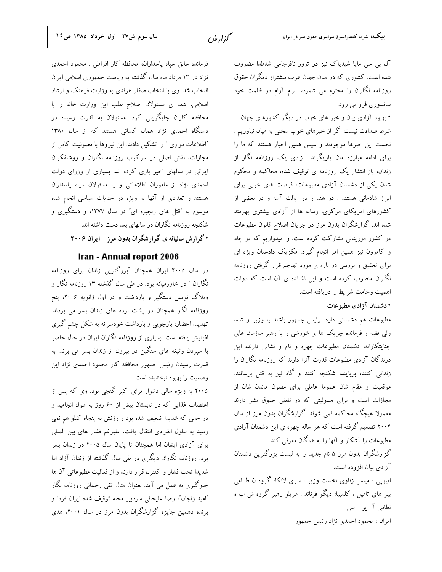آل-بی-سی مایا شیدیاک نیز در ترور نافرجامی شدطدا مضروب شده است. کشوری که در میان جهان عرب بیشتراز دیگران حقوق روزنامه نگاران را محترم می شمرد، آرام آرام در ظلمت خود سانسوري فرو مي رود.

• بهبود آزادی بیان و خبر های خوب در دیگر کشورهای جهان شرط صداقت نیست اگر از خبرهای خوب سخنی به میان نیاوریم . نخست این خبرها موجودند و سپس همین اخبار هستند که ما را برای ادامه مبارزه مان یاریگرند. آزادی یک روزنامه نگار از زندان، باز انتشار یک روزنامه ی توقیف شده، محاکمه و محکوم .<br>شدن یکی از دشمنان آزادی مطبوعات، فرصت های خوبی برای ابراز شادمانی هستند . در هند و در ایالت آسه و در بعضی از کشورهای امریکای مرکزی، رسانه ها از آزادی بیشتری بهرمند شده اند. گزارشگران بدون مرز در جریان اصلاح قانون مطبوعات در کشور موریتانی مشارکت کرده است. و امیدواریم که در چاد و کامرون نیز همین امر انجام گیرد. مکزیک دادستان ویژه ای برای تحقیق و بررسی در باره ی مورد تهاجم قرار گرفتن روزنامه نگاران منصوب کرده است و این نشانده ی آن است که دولت اهميت وخامت شرايط را دريافته است.

• دشمنان آزادی مطبوعات

مطبوعات هم دشمنانی دارد. رئیس جمهور باشند یا وزیر و شاه، ولی فقیه و فرمانده چریک ها ی شورشی و یا رهبر سازمان های جنایتکارانه، دشمنان مطبوعات چهره و نام و نشانی دارند، این درندگان آزادی مطبوعات قدرت آنرا دارند که روزنامه نگاران را زندانی کنند، بربایند، شکنجه کنند و گاه نیز به قتل برسانند. موقعیت و مقام شان عموما عاملی برای مصون ماندن شان از مجازات است و برای مسولیتی که در نقض حقوق بشر دارند معمولا هیچگاه محاکمه نمی شوند. گزارشگران بدون مرز از سال ۲۰۰۲ تصمیم گرفته است که هر ساله چهره ی این دشمنان آزادی مطبوعات را آشکار و آنها را به همگان معرفی کند. گزارشگران بدون مرز ۵ نام جدید را به لیست بزرگترین دشمنان آزادي بيان افزوده است. اتیویی : میلس زناوی نخست وزیر ، سری لانکا: گروه ن ظ امی ببر های تامیل ، کلمبیا: دیگو فرناند ، مریلو رهبر گروه ش ب ه نطامی آ- یو - سی

ايران : محمود احمدي نژاد رئيس جمهور

فرمانده سابق سياه ياسداران، محافظه كار افراطي . محمود احمدي نژاد در ۱۳ مرداد ماه سال گذشته به ریاست جمهوری اسلامی ایران .<br>انتخاب شد. وی با انتخاب صفار هرندی به وزارت فرهنک و ارشاد اسلامی، همه ی مسئولان اصلاح طلب این وزارت خانه را با محافظه کاران جایگرینی کرد. مسئولان به قدرت رسیده در دستگاه احمدی نژاد همان کسانی هستند که از سال ۱۳۸۰ "اطلاعات موازی " را تشکیل دادند. این نیروها با مصونیت کامل از مجازات، نقش اصلی در سرکوب روزنامه نگاران و روشنفکران ایرانی در سالهای اخیر بازی کرده اند. بسیاری از وزرای دولت احمدی نژاد از ماموران اطلاعاتی و یا مسئولان سپاه پاسداران هستند و تعدادی از آنها به ویژه در جنایات سیاسی انجام شده موسوم به "قتل های زنجیره ای" در سال ۱۳۷۷، و دستگیری و شکنجه روزنامه نگاران در سالهای بعد دست داشته اند. • گزارش سالیانه ی گزارشگران بدون مرز -ایران ۲۰۰۶

#### Iran - Annual report 2006

در سال ۲۰۰۵ ایران همچنان "بزرگترین زندان برای روزنامه نگاران ″ در خاورمیانه بود. در طی سال گذشته ۱۳ روزنامه نگار و وبلاگ نویس دستگیر و بازداشت و در اول ژانویه ۲۰۰۶، پنج روزنامه نگار همچنان در پشت نرده های زندان بسر می بردند. تهدید، احضار، بازجویی و بازداشت خودسرانه به شکل چشم گیری افزایش یافته است. بسیاری از روزنامه نگاران ایران در حال حاضر با سیردن وثیغه های سنگین در بیرون از زندان بسر می برند. به قدرت رسیدن رئیس جمهور محافظه کار محمود احمدی نژاد این وضعيت را بهبود نبخشيده است.

۲۰۰۵ به ویژه سالی دشوار برای اکبر گنجی بود. وی که پس از اعتصاب غذایی که در تابستان بیش از ۶۰ روز به طول انجامید و در حالي كه شديدا ضعيف شده بود و وزنش به ينجاه كيلو هم نمي رسید به سلول انفرادی انتقال یافت. علیرغم فشار های بین المللی برای آزادی ایشان اما همچنان تا پایان سال ۲۰۰۵ در زندان بسر برد. روزنامه نگاران دیگری در طی سال گذشته از زندان آزاد اما .<br>شدیدا تحت فشار و کنترل قرار دارند و از فعالیت مطبوعاتی آن ها جلوگیری به عمل می آید. بعنوان مثال تقی رحمانی روزنامه نگار .<br>"اميد زنجان"، رضا عليجاني سردبير مجله توقيف شده ايران فردا و برنده دهمین جایزه گزارشگران بدون مرز در سال ۲۰۰۱، هدی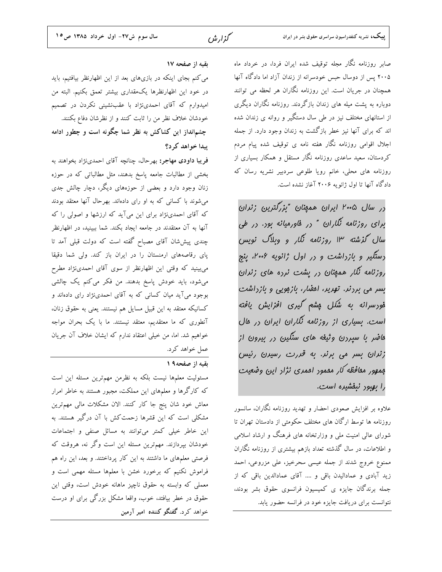صابر روزنامه نگار مجله توقیف شده ایران فردا، در خرداد ماه ۲۰۰۵ پس از دوسال حبس خودسرانه از زندان آزاد اما دادگاه آنها همچنان در جریان است. این روزنامه نگاران هر لحظه می توانند دوباره به یشت میله های زندان بازگردند. روزنامه نگاران دیگری از استانهای مختلف نیز در طی سال دستگیر و روانه ی زندان شده اند که برای آنها نیز خطر بازگشت به زندان وجود دارد. از جمله اجلال اقوامی روزنامه نگار هفته نامه ی توقیف شده پیام مردم کردستان، سعید ساعدی روزنامه نگار مستقل و همکار بسیاری از روزنامه های محلی، خانم رویا طلوعی سردبیر نشریه رسان که دادگاه آنها تا اول ژانو به ۲۰۰۶ آغاز نشده است.

در سال ۲۰۰۵ ایران همهنان "بزرگترین زندان برای روزنامه نگاران " در فاورمیانه بود. در طی سال گذشته ۱۳ <sub>ر</sub>وزنامه نگا<sub>ر</sub> و وبلاگ نویس دستگیر و بازداشت و در اول ژانویه ۲۰۰۶، پنج روزنامه نگار همهنان در پشت نرده های زندان بسر می بردند. تهریر، امفار، بازبویی و بازداشت فورسرانه به شُكل پشم گیری افزایش یافته است. بسیاری از روزنامه نگاران ایران در مال هاضر با سپررن وثیغه های سنگین در بیرون از زنران بسر می برنر. به قررت رسیرن رئیس مِمود, مف*افظه کا,* معمود اعمدی نژاد این وضعیت را بهبور نبفشیره است.

علاوه بر افزایش صعودی احضار و تهدید روزنامه نگاران، سانسور روزنامه ها توسط ارگان های مختلف حکومتی از دادستان تهران تا شورای عالی امنیت ملی و وزارتخانه های فرهنگ و ارشاد اسلامی و اطلاعات، در سال گذشته تعداد بازهم بیشتری از روزنامه نگاران ممنوع خروج شدند از جمله عیسی سحرخیز، علی مزروعی، احمد زید آبادی و عمادالیدن باقی و … آقای عمادالدین باقی که از جمله برندگان جایزه ی کمیسیون فرانسوی حقوق بشر بودند، نتوانست برای دریافت جایزه خود در فرانسه حضور یابد.

بقيه از صفحه ١٧

می کنم بجای اینکه در بازیهای بعد از این اظهارنظر بیافتیم، باید در خود این اظهارنظرها یکمقداری بیشتر تعمق بکنیم. البته من امیدوارم که آقای احمدینژاد با عقبنشینی نکردن در تصمیم خودشان خلاف نظر من را ثابت كنند و از نظرشان دفاع بكنند. چشم|نداز این کشاکش به نظر شما چگونه است و چطور ادامه ييدا خواهد كرد؟

فريبا داودي مهاجر: بهرحال، چنانچه آقاى احمدىنژاد بخواهند به بخشی از مطالبات جامعه پاسخ بدهند، مثل مطالباتی که در حوزه زنان وجود دارد و بعضی از حوزههای دیگر، دچار چالش جدی میشوند با کسانی که به او رای دادهاند. بهرحال آنها معتقد بودند که آقای احمدینژاد برای این میآید که ارزشها و اصولی را که آنها به آن معتقدند در جامعه ایجاد بکند. شما ببینید، در اظهارنظر چندی پیششان آقای مصباح گفته است که دولت قبلی آمد تا پای رقاصههای ارمنستان را در ایران باز کند. ولی شما دقیقا می بینید که وقتی این اظهارنظر از سوی آقای احمدینژاد مطرح میشود، باید خودش پاسخ بدهند. من فکر می کنم یک چالشی بوجود می آید میان کسانی که به آقای احمدی نژاد رای دادهاند و کسانیکه معتقد به این قبیل مسایل هم نیستند. یعنی به حقوق زنان، آنطوری که ما معتقدیم، معتقد نیستند. ما با یک بحران مواجه خواهیم شد. اما، من خیلی اعتقاد ندارم که ایشان خلاف آن جریان عمل خواهد کرد.

### بقيه از صفحه ۹

مسئولیت معلمها نیست بلکه به نظرمن مهمترین مسئله این است که کارگرها و معلمهای این مملکت، مجبور هستند به خاطر امرار معاش خود شان پنج جا کار کنند. الان مشکلات مالی مهمترین مشکلی است که این قشرها زحمتکش با آن درگیر هستند. به این خاطر خیلی کمتر میتوانند به مسائل صنفی و اجتماعات خودشان بپردازند. مهم;ترین مسئله این است وگر نه، هروقت که .<br>فرصتی معلمهای ما داشتند به این کار پرداختند. و بعد، این راه هم .<br>فراموش نکنیم که برخورد خشن با معلمها مسئله مهمی است و معملی که وابسته به حقوق ناچیز ماهانه خودش است، وقتی این حقوق در خطر بیافتد، خوب، واقعا مشکل بزرگی برای او درست خواهد کرد. گفتگو کننده امیر آرمین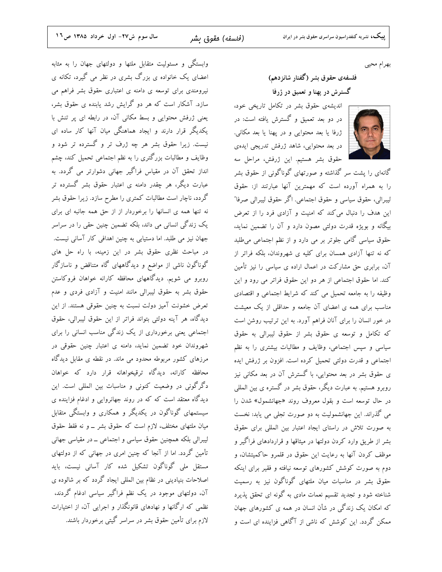وابستگی و مسئولیت متقابل ملتها و دولتهای جهان را به مثابه اعضای یک خانواده ی بزرگ بشری در نظر می گیرد، تکانه ی نیرومندی برای توسعه ی دامنه ی اعتباری حقوق بشر فراهم می سازد. آشکار است که هر دو گرایش رشد یابنده ی حقوق بشر، یعنی ژرفش محتوایی و بسط مکانی آن، در رابطه ای پر تنش با یکدیگر قرار دارند و ایجاد هماهنگی میان آنها کار ساده ای نیست. زیرا حقوق بشر هر چه ژرف تر و گسترده تر شود و وظایف و مطالبات بزرگتری را به نظم اجتماعی تحمیل کند، چشم انداز تحقق آن در مقیاس فراگیر جهانی دشوارتر می گردد. به عبارت دیگر، هر چقدر دامنه ی اعتبار حقوق بشر گسترده تر گردد، ناچار است مطالبات کمتری را مطرح سازد. زیرا حقوق بشر نه تنها همه ی انسانها را برخوردار از از حق همه جانبه ای برای یک زندگی انسانی می داند، بلکه تضمین چنین حقی را در سراسر جهان نیز می طلبد. اما دستیابی به چنین اهدافی کار آسانی نیست. در مباحث نظری حقوق بشر در این زمینه، با راه حل های گوناگون ناشی از مواضع و دیدگاههای گاه متناقض و ناسازگار روبرو می شویم. دیدگاههای محافظه کارانه خواهان فروکاستن حقوق بشر به حقوق لیبرالی مانند امنیت و آزادی فردی و عدم تعرض خشونت آمیز دولت نسبت به چنین حقوقی هستند. از این دیدگاه، هر آینه دولتی بتواند فراتر از این حقوق لیبرالی، حقوق اجتماعی یعنی برخورداری از یک زندگی مناسب انسانی را برای شهروندان خود تضمین نماید، دامنه ی اعتبار چنین حقوقی در مرزهای کشور مربوطه محدود می ماند. در نقطه ی مقابل دیدگاه محافظه کارانه، دیدگاه ترقیخواهانه قرار دارد که خواهان دگرگونی در وضعیت کنونی و مناسبات بین المللی است. این دیدگاه معتقد است که که در روند جهانروایی و ادغام فزاینده ی سیستمهای گوناگون در یکدیگر و همکاری و وابستگی متقابل میان ملتهای مختلف، لازم است که حقوق بشر \_ و نه فقط حقوق لیبرالی بلکه همچنین حقوق سیاسی و اجتماعی ــ در مقیاسی جهانی تأمین گردد. اما از آنجا که چنین امری در جهانی که از دولتهای مستقل ملی گوناگون تشکیل شده کار آسانی نیست، باید اصلاحات بنیادینی در نظام بین المللی ایجاد گردد که بر شالوده ی آن، دولتهای موجود در یک نظم فراگیر سیاسی ادغام گردند، نظمی که ارگانها و نهادهای قانونگذار و اجرایی آن، از اختیارات لازم برای تأمین حقوق بشر در سراسر گیتی برخوردار باشند.

بهرام محيى

فلسفهى حقوق بشر (گفتار شانزدهم) گسترش در یهنا و تعمیق در ژرفا

اندیشهی حقوق بشر در تکامل تاریخی خود، در دو بعد تعمیق و گسترش یافته است: در ژرفا یا بعد محتوایی و در یهنا یا بعد مکانی. در بعد محتوایی، شاهد ژرفش تدریجی ایدهی حقوق بشر هستیم. این ژرفش، مراحل سه



.<br>گانهای را پشت سر گذاشته و صورتهای گوناگونی از حقوق بشر را به همراه آورده است که مهمترین آنها عبارتند از: حقوق ليبرالي، حقوق سياسي و حقوق اجتماعي. اگر حقوق ليبرالي صرفا" این هدف را دنبال میکند که امنیت و آزادی فرد را از تعرض بیگانه و بویژه قدرت دولتی مصون دارد و آن را تضمین نماید، حقوق سیاسی گامی جلوتر بر می دارد و از نظم اجتماعی می طلبد که نه تنها آزادی همسان برای کلیه ی شهروندان، بلکه فراتر از آن، برابری حق مشارکت در اعمال اراده ی سیاسی را نیز تأمین كند. اما حقوق اجتماعي از هر دو اين حقوق فراتر مي رود و اين وظیفه را به جامعه تحمیل می کند که شرایط اجتماعی و اقتصادی مناسب برای همه ی اعضای آن جامعه و حداقلی از یک معیشت در خور انسان را برای آنان فراهم آورد. به این ترتیب روشن است که تکامل و توسعه ی حقوق بشر از حقوق لیبرالی به حقوق سیاسی و سپس اجتماعی، وظایف و مطالبات بیشتری را به نظم اجتماعی و قدرت دولتی تحمیل کرده است. افزون بر ژرفش ایده ی حقوق بشر در بعد محتوایی، با گسترش آن در بعد مکانی نیز روبرو هستیم. به عبارت دیگر، حقوق بشر در گستره ی بین المللی در حال توسعه است و بقول معروف روند «جهانشمول» شدن را می گذراند. این جهانشمولیت به دو صورت تجلی می یابد: نخست به صورت تلاش در راستای ایجاد اعتبار بین المللی برای حقوق بشر از طریق وارد کردن دولتها در میثاقها و قراردادهای فراگیر و موظف کردن آنها به رعایت این حقوق در قلمرو حاکمیتشان، و دوم به صورت کوشش کشورهای توسعه نیافته و فقیر برای اینکه حقوق بشر در مناسبات میان ملتهای گوناگون نیز به رسمیت .<br>شناخته شود و تجدید تقسیم نعمات مادی به گونه ای تحقق یذیرد که امکان یک زندگی در شأن انسان در همه ی کشورهای جهان ممکن گردد. این کوشش که ناشی از آگاهی فزاینده ای است و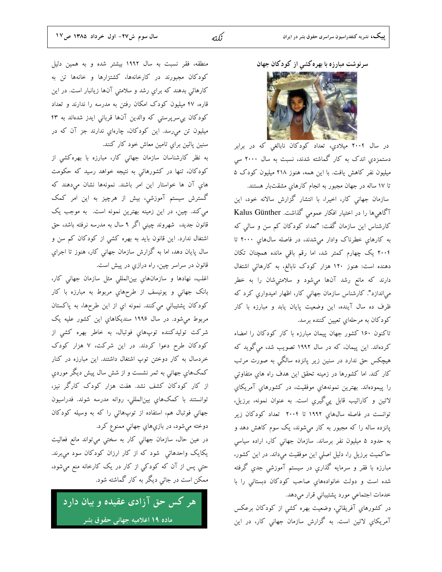سرنوشت مبارزه با بهره کشی از کودکان جهان

در سال ۲۰۰۴ میلادی، تعداد کودکان نابالغی که در برابر دستمزدي اندک به کار گماشته شدند، نسبت به سال ۲۰۰۰ سی میلیون نفر کاهش یافت. با این همه، هنوز ۲۱۸ میلیون کودک ۵ تا ۱۷ ساله در جهان مجبور به انجام کارهای مشقتبار هستند.

سازمان جهانی کار، اخیرا، با انتشار گزارش سالانه خود، این آگاهیها را در اختیار افکار عمومی گذاشت. Kalus Günther کارشناس این سازمان گفت: "تعداد کودکان کم سن و سالی که به کارهای خطرناک وادار میشدند، در فاصله سالهای ۲۰۰۰ تا ۲۰۰۴ یک چهارم کمتر شد، اما رقم باقی مانده همچنان تکان دهنده است: هنوز ۱۲۰ هزار کودک نابالغ، به کارهائي اشتغال دارند که مانع رشد آنها میشود و سلامتیشان را به خطر میاندازد". کارشناس سازمان جهانی کار، اظهار امیدواری کرد که ظرف ده سال آینده، این وضعیت پایان یابد و مبارزه با کار كودكان به مرحلهاي تعيين كننده برسد.

تاکنون ۱۶۰ کشور جهان پیمان مبارزه با کار کودکان را امضاء کردهاند. این پیمان، که در سال ۱۹۹۲ تصویب شد، میگوید که هیچکس حق ندارد در سنین زیر پانزده سالگی به صورت مرتب کار کند. اما کشورها در زمینه تحقق این هدف راه های متفاوتی را پيمودهاند. بهترين نمونههاي موفقيت، در كشورهاي آمريكاي لاتين و كارائيب قابل پيگيري است. به عنوان نمونه، برزيل، توانست در فاصله سالهای ۱۹۹۲ تا ۲۰۰۴ تعداد کودکان زیر پانزده ساله را که مجبور به کار میشوند، یک سوم کاهش دهد و به حدود ۵ میلیون نفر برساند. سازمان جهانی کار، اراده سیاسی حاکمیت برزیل را، دلیل اصلی این موفقیت میداند. در این کشور، مبارزه با فقر و سرمايه گذاري در سيستم آموزشی جدي گرفته شده است و دولت خانوادههای صاحب کودکان دبستانی را با خدمات اجتماعی مورد پشتیبانی قرار میدهد.

در کشورهاي آفريقائي، وضعيت بهره کشي از کودکان برعکس آمریکاي لاتين است. به گزارش سازمان جهانی کار، در اين

منطقه، فقر نسبت به سال ۱۹۹۲ بیشتر شده و به همین دلیل کودکان مجبورند در کارخانهها، کشتزارها و خانهها تن به كارهائي بدهند كه براي رشد و سلامتي آنها زيانبار است. در اين قاره، ۴۷ میلیون کودک امکان رفتن به مدرسه را ندارند و تعداد کودکان بی سرپرستی که والدین آنها قربانی ایدز شدهاند به ۴۳ میلیون تن میرسد. این کودکان، چارهای ندارند جز آن که در سنین پائین براي تامین معاش خود کار کنند.

به نظر کارشناسان سازمان جهانی کار، مبارزه با بهرهکشی از کودکان، تنها در کشورهائی به نتیجه خواهد رسید که حکومت هایِ آن ها خواستار این امر باشند. نمونهها نشان میدهند که گسترش سیستم آموزشی، بیش از هرچیز به این امر کمک می کند. چین، در این زمینه بهترین نمونه است. به موجب یک قانون جديد، شهروند چيني اگر ۹ سال به مدرسه نرفته باشد، حق اشتغال ندارد. اين قانون بايد به بهره كشي از كودكان كم سن و سال پایان دهد، اما به گزارش سازمان جهانی کار، هنوز تا اجرای قانون در سراسر چين، راه درازي در پيش است.

اغلب، نهادها و سازمانهاي بين|لمللي مثل سازمان جهاني كار، بانک جهاني و يونيسف از طرحهاي مربوط به مبارزه با کار كودكان پشتيباني مي كنند. نمونه اي از اين طرحها، به پاكستان مربوط میشود. در سال ۱۹۹۶ سندیکاهایِ این کشور علیه یک شركت توليدكننده توپهاي فوتبال، به خاطر بهره كشى از کودکان طرح دعوا کردند. در این شرکت، ۷ هزار کودک خردسال به کار دوختن توپ اشتغال داشتند. این مبارزه در کنار کمکهاي جهانی به ثمر نشست و از شش سال پيش ديگر موردي از کار کودکان کشف نشد. هفت هزار کودک کارگر نیز، توانستند با كمكهاي بين|لمللي، روانه مدرسه شوند. فدراسيون جهانی فوتبال هم، استفاده از توپهائی را که به وسیله کودکان دوخته ميشود، در بازي هاي جهاني ممنوع كرد.

در عین حال، سازمان جهانی کار به سختی میتواند مانع فعالیت یکایک واحدهائی شود که از کار ارزان کودکان سود میبرند. حتی پس از آن که کودکی از کار در یک کارخانه منع میشود، ممکن است در جائی دیگر به کار گماشته شود.

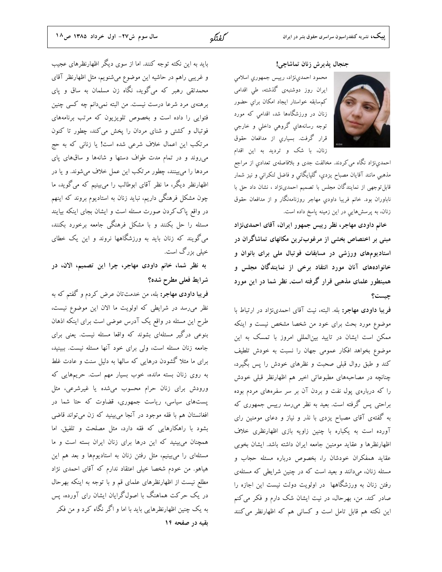جنجال يذيرش زنان تماشاچي!

محمود احمدی نژاد، رییس جمهوری اسلامی ایران روز دوشنبهی گذشته، طی اقدامی كمهسابقه خواستار ايجاد امكان براي حضور زنان در ورزشگاهها شد، اقدامی که مورد توجه رسانههاي گروهي داخلي و خارجي قرار گرفت. بسیاریِ از مدافعان حقوق زنان، با شک و تردید به این اقدام

احمدینژاد نگاه می کردند. مخالفت جدی و بلافاصلهی تعدادی از مراجع مذهبی مانند آقایان مصباح یزدي، گلپایگانی و فاضل لنکرانی و نیز شمار قابلتوجهی از نمایندگان مجلس با تصمیم احمدینژاد ، نشان داد حق با ناباوران بود. خانم فريبا داودي مهاجر روزنامهنگار و از مدافعان حقوق زنان، به پرسشهايي در اين زمينه پاسخ داده است.

خانم داودی مهاجر، نظر رییس جمهور ایران، آقای احمدینژاد مبنی بر اختصاص بخشی از مرغوبترین مکانهای تماشاگران در استادیومهای ورزشی در مسابقات فوتبال مل<sub>ی</sub> برای بانوان و خانوادههای آنان مورد انتقاد برخی از نمایندگان مجلس و همینطور علمای مذهبی قرار گرفته است. نظر شما در این مورد جست؟

فريبا داودي مهاجر: بله. البته، نيت آقاى احمدى نژاد در ارتباط با موضوع مورد بحث برای خود من شخصا مشخص نیست و اینکه ممکن است ایشان در تایید بین المللی امروز با تمسک به این موضوع بخواهد افكار عمومي جهان را نسبت به خودش تلطيف کند و طبق روال قبلی صحبت و نظرهای خودش را پس بگیرد، چنانچه در مصاحبههای مطبوعاتی اخیر هم اظهارنظر قبلی خودش را که دربارهی پول نفت و بردن آن بر سر سفرههای مردم بوده براحتی پس گرفته است. بعید به نظر میرسد رییس جمهوری که به گفتهی آقای مصباح یزدی با نذر و نیاز و دعای مومنین رای آورده است به یکباره با چنین زاویه بازی اظهارنظری خلاف اظهارنظرها و عقايد مومنين جامعه ايران داشته باشد. ايشان بخوبى عقاید همفکران خودشان را، بخصوص درباره مسئله حجاب و مسئله زنان، میدانند و بعید است که در چنین شرایطی که مسئلهی رفتن زنان به ورزشگاهها ً در اولویت دولت نیست این اجازه را صادر کند. من، بهرحال، در نیت ایشان شک دارم و فکر می کنم این نکته هم قابل تامل است و کسانی هم که اظهارنظر می کنند

باید به این نکته توجه کنند. اما از سوی دیگر اظهارنظرهای عجیب و غریبی راهم در حاشیه این موضوع میشنویم، مثل اظهارنظر آقای محمدتقی رهبر که میگوید، نگاه زن مسلمان به ساق و پای برهنهی مرد شرعا درست نیست. من البته نمیدانم چه کسی چنین فتوایی را داده است و بخصوص تلویزیون که مرتب برنامههای فوتبال و کشتی و شنای مردان را پخش می کند، چطور تا کنون مرتکب این اعمال خلاف شرعی شده است! یا زنانی که به حج میروند و در تمام مدت طواف دستها و شانهها و ساقهای پای مردها را میبینند، چطور مرتکب این عمل خلاف میشوند. و یا در اظهارنظر دیگر، ما نظر آقای ابوطالب را میبینیم که میگوید، ما چون مشکل فرهنگی داریم، نباید زنان به استادیوم بروند که اینهم در واقع پاک کردن صورت مسئله است و ایشان بجای اینکه بیایند مسئله را حل بکنند و با مشکل فرهنگی جامعه برخورد بکنند، می گویند که زنان باید به ورزشگاهها نروند و این یک خطای خیلی یزرگ است.

به نظر شما، خانم داودی مهاجر، چرا این تصمیم، الان، در شرايط فعلى مطرح شده؟

فریبا <mark>داودی مهاجر:</mark> بله، من خدمتتان عرض کردم و گفتم که به نظر می رسد در شرایطی که اولویت ما الان این موضوع نیست، طرح این مسئله در واقع یک آدرس عوضی است برای اینکه اذهان بنوعی درگیر مسئلهای بشوند که واقعا مسئله نیست. یعنی برای جامعه زنان مسئله است، ولي براي خود آنها مسئله نيست. ببينيد، برای ما مثلا گشودن درهایی که سالها به دلیل سنت و عادت غلط به روی زنان بسته مانده، خوب بسیار مهم است. حریمهایی که ورودش برای زنان حرام محسوب می شده یا غیرشرعی، مثل پستهای سیاسی، ریاست جمهوری، قضاوت که حتا شما در افغانستان هم با فقه موجود در آنجا میبینید که زن میتواند قاضی بشود با راهکارهایی که فقه دارد، مثل مصلحت و تلفیق. اما همچنان میبینید که این درها برای زنان ایران بسته است و ما مسئلهای را میبینیم، مثل رفتن زنان به استادیومها و بعد هم این هیاهو. من خودم شخصا خیلی اعتقاد ندارم که آقای احمدی نژاد مطلع نیست از اظهارنظرهای علمای قم و با توجه به اینکه بهرحال در یک حرکت هماهنگ با اصولگرایان ایشان رای آورده، پس به یک چنین اظهارنظرهایی باید با اما و اگر نگاه کرد و من فکر بقیه در صفحه ۱۴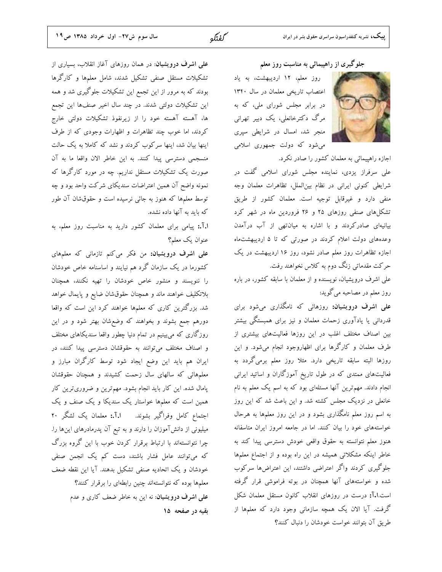جلوگیری از راهپیمائی به مناسبت روز معلم

روز معلم، ١٢ ارديبهشت، به ياد اعتصاب تاریخی معلمان در سال ۱۳۴۰ در برابر مجلس شورای ملی، که به مرگ دکترخانعلی، یک دبیر تهرانی منجر شد، امسال در شرایطی سپری میشود که دولت جمهوری اسلامی



اجازه راهپیمائی به معلمان کشور را صادر نکرد.

علی سرفراز یزدی، نماینده مجلس شورای اسلامی گفت در شرایطی کنونی ایرانی در نظام بینالملل، تظاهرات معلمان وجه منفی دارد و غیرقابل توجیه است. معلمان کشور از طریق تشکلهای صنفی روزهای ۲۵ و ۲۶ فروردین ماه در شهر کرد بیانیهای صادرکردند و با اشاره به میانتهی از آب درآمدن وعدههای دولت اعلام کردند در صورتی که تا ۵ اردیبهشتماه اجازه تظاهرات روز معلم صادر نشود، روز ۱۶ اردیبهشت در یک حرکت مقدماتی زنگ دوم به کلاس نخواهند رفت.

علی اشرف درویشیان، نویسنده و از معلمان با سابقه کشور، در باره روز معلم در مصاحبه میگوید:

علی اشرف درویشیان: روزهائی که نامگذاری میشود برای قدردانی یا یادآوری زحمات معلمان و نیز برای همبستگی بیشتر بین اصناف مختلف اغلب در این روزها فعالیتهای بیشتری از طرف معلمان و کارگرها برای اظهاروجود انجام میشود. و این روزها البته سابقه تاریخی دارد. مثلا روز معلم برمیگردد به فعالیتهای ممتدی که در طول تاریخ آموزگاران و اساتید ایرانی انجام دادند. مهم ترین آنها مسئلهای بود که به اسم یک معلم به نام خانعلی در نزدیک مجلس کشته شد. و این باعث شد که این روز به اسم روز معلم نامگذاری بشود و در این روز معلمها به هرحال خواستههای خود را بیان کنند. اما در جامعه امروز ایران متاسفانه هنوز معلم نتوانسته به حقوق واقعی خودش دسترسی پیدا کند به خاطر اینکه مشکلاتی همیشه در این راه بوده و از اجتماع معلمها جلوگیری کردند واگر اعتراضی داشتند، این اعتراضها سرکوب شده و خواستههای آنها همچنان در بوته فراموشی قرار گرفته است.ا.آ: درست در روزهای انقلاب کانون مستقل معلمان شکل گرفت. آیا الان یک همچه سازمانی وجود دارد که معلمها از طریق آن بتوانند خواست خودشان را دنبال کنند؟

علمی اشرف درویشیان: در همان روزهای آغاز انقلاب، بسیاری از تشکیلات مستقل صنفی تشکیل شدند، شامل معلمها و کارگرها بودند که به مرور از این تجمع این تشکیلات جلوگیری شد و همه این تشکیلات دولتی شدند. در چند سال اخیر صنفها این تجمع ها، آهسته آهسته خود را از زیرنفوذ تشکیلات دولتی خارج کردند، اما خوب چند تظاهرات و اظهارات وجودی که از طرف اینها بیان شد، اینها سرکوب کردند و نشد که کاملا به یک حالت منسجمی دسترسی پیدا کنند. به این خاطر الان واقعا ما به آن صورت یک تشکیلات مستقل نداریم. چه در مورد کارگرها که نمونه واضح آن همین اعتراضات سندیکای شرکت واحد بود و چه توسط معلمها که هنوز به جائی نرسیده است و حقوقشان آن طور که باید به آنها داده نشده.

ا.آ.: پیامی برای معلمان کشور دارید به مناسبت روز معلم، به عنوان يک معلم؟

علی اشرف درویشیان: من فکر میکنم تازمانی که معلمهای کشورما در یک سازمان گرد هم نیایند و اساسنامه خاص خودشان را ننویسند و منشور خاص خودشان را تهیه نکنند، همچنان بلاتكليف خواهند ماند و همچنان حقوق شان ضايع و پايمال خواهد شد. بزرگترین کاری که معلمها خواهند کرد این است که واقعا دورهم جمع بشوند و بخواهند که وضع شان بهتر شود و در این روزگاری که میبینیم در تمام دنیا چطور واقعا سندیکاهای مختلف و اصناف مختلف میتوانند به حقوقشان دسترسی پیدا کنند، در ایران هم باید این وضع ایجاد شود توسط کارگران مبارز و معلمهائی که سالهای سال زحمت کشیدند و همچنان حقوقشان پامال شده. این کار باید انجام بشود. مهمترین و ضروریترین کار همین است که معلمها خواستار یک سندیکا و یک صنف و یک اجتماع كامل وفراگير بشوند. 1.آ.: معلمان يک لشگر ٢٠ میلیونی از دانشآموزان را دارند و به تبع آن پدرمادرهای اینها را. چرا نتوانستهاند با ارتباط برقرار کردن خوب با این گروه بزرگ که میتوانند عامل فشار باشند، دست کم یک انجمن صنفی خودشان و یک اتحادیه صنفی تشکیل بدهند. آیا این نقطه ضعف معلمها بوده که نتوانستهاند چنین رابطهای را برقرار کنند؟ علمی اشرف درویشیان: نه این به خاطر ضعف کاری و عدم بقيه در صفحه ١۵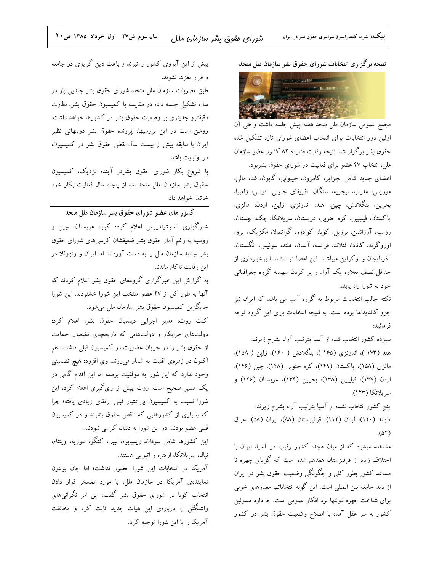نتیحه برگزاری انتخابات شورای حقوق بشر سازمان ملل متحد



مجمع عمومی سازمان ملل متحد هفته پیش جلسه داشت و طی آن اولین دور انتخابات برای انتخاب اعضای شورای تازه تشکیل شده حقوق بشر برگزار شد. نتیجه رقابت فشرده ۸۲ کشور عضو سازمان ملل، انتخاب ۴۷ عضو برای فعالیت در شورای حقوق بشربود.

اعضای جدید شامل الجزایر، کامرون، جیبوتی، گابون، غنا، مالی، موريس، مغرب، نيجريه، سنگال، افريقاي جنوبي، تونس، زامبيا، بحرين، بنگلادش، چين، هند، اندونزي، ژاپن، اردن، مالزي، ياكستان، فيلييين، كره جنوبي، عربستان، سريلانكا، چک، لهستان، روسیه، آزژانتین، برزیل، کوبا، اکوادور، گواتمالا، مکزیک، پرو، اوروگوئه، كانادا، فنلاند، فرانسه، آلمان، هلند، سوئيس، انگلستان، آذربایجان و اوکراین میباشند. این اعضا توانستند با برخورداری از حداقل نصف بعلاوه یک آراء و پر کردن سهمیه گروه جغرافیائی خود به شورا راه یابند.

نکته جالب انتخابات مربوط به گروه آسیا می باشد که ایران نیز جزو کاندیداها بوده است. به نتیجه انتخابات برای این گروه توجه فر مائيد:

سیزده کشور انتخاب شده از آسیا بترتیب آراء بشرح زیرند: هند (۱۷۳ )، اندونزی (۱۶۵ )، بنگلادش ( ۱۶۰)، ژاپن ( ۱۵۸)، مالزی (۱۵۸)، پاکستان (۱۴۹)، کره جنوبی (۱۴۸)، چین (۱۴۶)، اردن (۱۳۷)، فیلیپین (۱۳۸)، بحرین (۱۳۴)، عربستان (۱۲۶) و سريلانكا (١٢٣).

پنج کشور انتخاب نشده از آسیا بترتیب آراء بشرح زیرند: تايلند (١٢٠)، لبنان (١١٢)، قرقيزستان (٨٨)، ايران (۵٨)، عراق  $.(\Delta \Upsilon)$ 

مشاهده میشود که از میان هجده کشور رقیب در آسیا، ایران با اختلاف زیاد از قرقیزستان هفدهم شده است که گویای چهره نا مساعد کشور بطور کلی و چگونگی وضعیت حقوق بشر در ایران از دید جامعه بین المللی است. این گونه انتخاباتها معیارهای خوبی برای شناخت جهره دولتها نزد افکار عمومی است. جا دارد مسولین کشور به سر عقل آمده با اصلاح وضعیت حقوق بشر در کشور

بیش از این آبروی کشور را نبرند و باعث دین گریزی در جامعه و فرار مغزها نشوند.

طبق مصوبات سازمان ملل متحد، شورای حقوق بشر چندین بار در سال تشکیل جلسه داده در مقایسه با کمیسیون حقوق بشر، نظارت دقیقترو جدیتری بر وضعیت حقوق بشر در کشورها خواهد داشت. روشن است در این بررسیها، پرونده حقوق بشر دولتهائی نظیر ایران با سابقه بیش از بیست سال نقض حقوق بشر در کمیسیون، در اولويت باشد.

با شروع بکار شورای حقوق بشردر آینده نزدیک، کمیسیون حقوق بشر سازمان ملل متحد بعد از پنجاه سال فعالیت بکار خود خاتمه خواهد داد.

کشور های عضو شورای حقوق بشر سازمان ملل متحد خبرگزاری آسوشیتدپرس اعلام کرد: کوبا، عربستان، چین و روسیه به رغم آمار حقوق بشر ضعیفشان کرسیهای شورای حقوق بشر جدید سازمان ملل را به دست آوردند؛ اما ایران و ونزوئلا در اين رقابت ناكام ماندند.

به گزارش این خبرگزاری گروههای حقوق بشر اعلام کردند که آنها به طور كل از ۴۷ عضو منتخب اين شورا خشنودند. اين شورا جايگزين كميسيون حقوق بشر سازمان ملل مىشود.

كنت روت، مدير اجرايي ديدهبان حقوق بشر، اعلام كرد: دولتهای خرابکار و دولتهایی که تاریخچهی تضعیف حمایت از حقوق بشر را در جریان عضویت در کمیسیون قبلی داشتند، هم اکنون در زمرهی اقلیت به شمار میروند. وی افزود: هیچ تضمینی وجود ندارد که این شورا به موفقیت برسد؛ اما این اقدام گامی در یک مسیر صحیح است. روت پیش از رای گیری اعلام کرد، این شورا نسبت به کمیسیون بی|عتبار قبلی ارتقای زیادی یافته؛ چرا که بسیاری از کشورهایی که ناقض حقوق بشرند و در کمیسیون قبلی عضو بودند، در این شورا به دنبال کرسی نبودند. این کشورها شامل سودان، زیمبابوه، لیبی، کنگو، سوریه، ویتنام، نپال، سریلانکا، اریتره و اتیوپی هستند. آمریکا در انتخابات این شورا حضور نداشت؛ اما جان بولتون نمایندهی آمریکا در سازمان ملل، با مورد تمسخر قرار دادن انتخاب کوبا در شورای حقوق بشر گفت: این امر نگرانیهای واشنگتن را دربارهی این هیات جدید ثابت کرد و مخالفت

آمریکا را با این شورا توجیه کرد.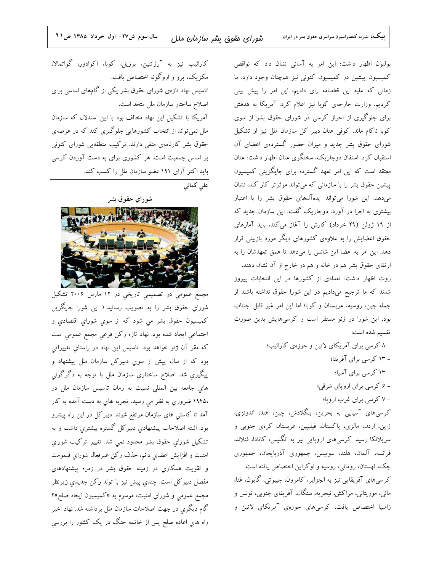بولتون اظهار داشت: این امر به آسانی نشان داد که نواقص کمیسیون پیشین در کمیسیون کنونی نیز همچنان وجود دارد. ما زمانی که علیه این قطعنامه رای دادیم، این امر را پیش بینی کردیم. وزارت خارجهی کوبا نیز اعلام کرد: آمریکا به هدفش برای جلوگیری از احراز کرسی در شورای حقوق بشر از سوی کوبا ناکام ماند. کوفی عنان دبیر کل سازمان ملل نیز از تشکیل شورای حقوق بشر جدید و میزان حضور گستردهی اعضای آن استقبال کرد. استفان دوجاریک، سخنگوی عنان اظهار داشت: عنان معتقد است که این امر تعهد گسترده برای جایگزینی کمیسیون پیشین حقوق بشر را با سازمانی که میتواند موثرتر کار کند، نشان میدهد. این شورا میتواند ایدهآلهای حقوق بشر را با اعتبار بیشتری به اجرا در آورد. دوجاریک گفت: این سازمان جدید که از ۱۹ ژوئن (۲۹ خرداد) کارش را آغاز میکند، باید آمارهای حقوق اعضایش را به علاوهی کشورهای دیگر مورد بازبینی قرار دهد. این امر به اعضا این شانس را میدهد تا عمق تعهدشان را به ارتقای حقوق بشر هم در خانه و هم در خارج از آن نشان دهند. روت اظهار داشت: تعدادی از کشورها در این انتخابات پیروز شدند که ما ترجیح میدادیم در این شورا حقوق نداشته باشند از جمله چین، روسیه، عربستان و کوبا؛ اما این امر غیر قابل اجتناب بود. این شورا در ژنو مستقر است و کرسیهایش بدین صورت تقسيم شده است: - ۸ کرسی برای آمریکای لاتین و حوزهی کارائیب؛ – ۱۳ کرسی برای آفریقا؛ - ۱۳ کرسی برای آسیا؛ - ۶ کرسی برای اروپای شرقی؛ - ۷ کرسی برای غرب اروپا؛ کرسیهای آسیایی به بحرین، بنگلادش، چین، هند، اندونزی، ژاپن، اردن، مالزی، پاکستان، فیلیپین، عربستان کرەی جنوبی و سریلانکا رسید. کرسیهای اروپایی نیز به انگلیس، کانادا، فنلاند، فرانسه، آلمان، هلند، سوییس، جمهوری آذربایجان، جمهوری چک، لهستان، رومانی، روسیه و اوکراین اختصاص یافته است. کرسی،ای آفریقایی نیز به الجزایر، کامرون، جیبوتی، گابون، غنا،

مالي، موريتاني، مراكش، نيجريه، سنگال، آفريقاي جنوبي، تونس و زامبیا اختصاص یافت. کرسیهای حوزهی آمریکای لاتین و

كارائيب نيز به آرژانتين، برزيل، كوبا، اكوادور، گواتمالا، مکزیک، پرو و اروگوئه اختصاص یافت. تاسیس نهاد تازهی شورای حقوق بشر یکی از گامهای اساسی برای اصلاح ساختار سازمان ملل متحد است. آمریکا با تشکیل این نهاد مخالف بود با این استدلال که سازمان ملل نمی تواند از انتخاب کشورهایی جلوگیری کند که در عرصهی حقوق بشر کارنامەی منفی دارند. ترکیب منطقهیی شورای کنونی بر اساس جمعیت است. هر کشوری برای به دست آوردن کرسی باید اکثر آرای ۱۹۱ عضو سازمان ملل را کسب کند.

على كمالي



مجمع عمومی در تصمیمی تاریخی در ۱۲ مارس ۲۰۰۶ تشکیل شورای حقوق بشر را به تصویب رسانید.۱ این شورا جایگزین كميسيون حقوق بشر مي شود كه از سوي شوراي اقتصادي و اجتماعی ایجاد شده بود. نهاد تازه رکن فرعی مجمع عمومی است که مقر آن ژنو خواهد بود. تاسیس این نهاد در راستاي تغییراتي بود که از سال پیش از سوی دبیرکل سازمان ملل پیشنهاد و پیگیری شد. اصلاح ساختاری سازمان ملل با توجه به دگرگونی هاي جامعه بين المللي نسبت به زمان تاسيس سازمان ملل در ،۱۹۴۵ ضروري به نظر مي رسيد. تجربه هاي به دست آمده به کار آمد تا کاستی هایِ سازمان مرتفع شوند. دبیرکل در این راه پیشرو بود. البته اصلاحات پیشنهادي دبیرکل گستره بیشتري داشت و به تشکیل شورای حقوق بشر محدود نمی شد. تغییر ترکیب شورای امنيت و افزايش اعضاي دائم، حذف ركن غيرفعال شوراي قيمومت و تقویت همکاری در زمینه حقوق بشر در زمره پیشنهادهای مفصل دبیرکل است. چندی پیش نیز با تولد رکن جدیدی زیرنظر مجمع عمومی و شوراي امنيت، موسوم به «كميسيون ايجاد صلح»۲ گام دیگری در جهت اصلاحات سازمان ملل برداشته شد. نهاد اخیر راه هاي اعاده صلح پس از خاتمه جنگ در يک کشور را بررسي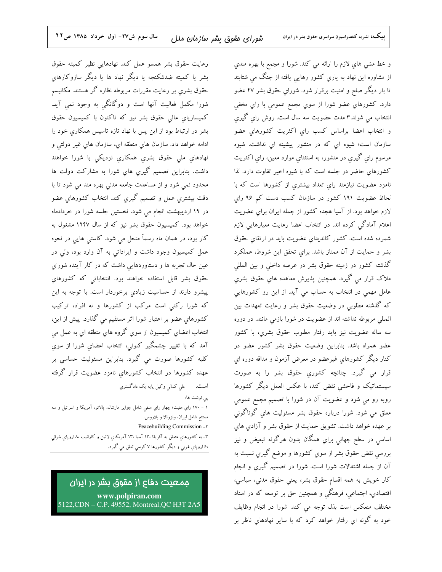رعایت حقوق بشر همسو عمل کند. نهادهایی نظیر کمیته حقوق بشر یا کمیته ضدشکنجه یا دیگر نهاد ها یا دیگر سازوکارهای حقوق بشری بر رعایت مقررات مربوطه نظاره گر هستند. مکانیسم شورا مکمل فعالیت آنها است و دوگانگی به وجود نمی آید. كميسارياي عالى حقوق بشر نيز كه تاكنون با كميسيون حقوق بشر در ارتباط بود از این پس با نهاد تازه تاسیس همکاری خود را ادامه خواهد داد. سازمان های منطقه ای، سازمان های غیر دولتی و نهادهاي ملي حقوق بشري همكاري نزديكي با شورا خواهند داشت. بنابراين تصميم گيري هاي شورا به مشاركت دولت ها محدود نمی شود و از مساعدت جامعه مدنی بهره مند می شود تا با دقت بيشتري عمل و تصميم گيري كند. انتخاب كشورهاي عضو در ۱۹ اردیبهشت انجام می شود. نخستین جلسه شورا در خردادماه خواهد بود. کمیسیون حقوق بشر نیز که از سال ۱۹۴۷ مشغول به کار بود، در همان ماه رسماً منحل می شود. کاستی هایی در نحوه عمل کمیسیون وجود داشت و ایراداتی به آن وارد بود، ولی در عين حال تجربه ها و دستاوردهايی داشت که در کار آينده شوراي حقوق بشر قابل استفاده خواهند بود. انتخاباتی که کشورهای پیشرو دارند از حساسیت زیادي برخوردار است. با توجه به این که شورا رکنی است مرکب از کشورها و نه افراد، ترکیب کشورهای عضو بر اعتبار شورا اثر مستقیم می گذارد. پیش از این، انتخاب اعضای کمیسیون از سوی گروه های منطقه ای به عمل می آمد که با تغییر چشمگیر کنونی، انتخاب اعضای شورا از سوی کلیه کشورها صورت می گیرد. بنابراین مسئولیت حساسی بر عهده کشورها در انتخاب کشورهای نامزد عضویت قرار گرفته **است.** على كمالي وكيل پايه يک دادگستري پی نوشت ها: ١ - ١٧٠ راي مثبت؛ چهار راي منفي شامل جزاير مارشال، پالائو، آمريكا و اسرائيل و سه ممتنع شامل ایران، ونزوئلا و بلاروس. Peacebuilding Commission -

۳- به کشورهای متعلق به آفریقا ۱۳، آسیا ۱۳، آمریکای لاتین و کارائیب ۸، اروپای شرقی ،۶ اروپاي غربي و ديگر کشورها ۷ کرسي تعلق مي گيرد.

جمعیت دفاع از مقوق بشر در ا<u>ی</u>را*ن* www.polpiran.com  $5122$ , CDN – C.P. 49552, Montreal, QC H3T  $2A5$ 

و خط مشى هاي لازم را ارائه مى كند. شورا و مجمع با بهره مندي از مشاوره این نهاد به یاری کشور رهایی یافته از جنگ می شتابند تا بار دیگر صلح و امنیت برقرار شود. شورای حقوق بشر ۴۷ عضو دارد. کشورهای عضو شورا از سوی مجمع عمومی با رای مخفی انتخاب مي شوند.۳ مدت عضويت سه سال است. روش راي گيري و انتخاب اعضا براساس كسب راى اكثريت كشورهاى عضو سازمان است؛ شیوه ای که در منشور پیشینه ای نداشت. شیوه مرسوم رای گیری در منشور، به استثنای موارد معین، رای اکثریت كشورهاي حاضر در جلسه است كه با شيوه اخير تفاوت دارد. لذا نامزد عضویت نیازمند رای تعداد بیشتری از کشورها است که با لحاظ عضویت ۱۹۱ کشور در سازمان کسب دست کم ۹۶ رای لازم خواهد بود. از آسیا هجده کشور از جمله ایران برای عضویت اعلام آمادگی کرده اند. در انتخاب اعضا رعایت معیارهایی لازم شمرده شده است. كشور كانديداي عضويت بايد در ارتقاي حقوق بشر و حمایت از آن ممتاز باشد. برای تحقق این شروط، عملکرد گذشته کشور در زمینه حقوق بشر در عرصه داخلی و بین المللی ملاک قرار می گیرد. همچنین پذیرش معاهده های حقوق بشری عامل مهمي در انتخاب به حساب مي آيد. از اين رو كشورهايي که گذشته مطلوبی در وضعیت حقوق بشر و رعایت تعهدات بین المللی مربوطه نداشته اند از عضویت در شورا بازمی مانند. در دوره سه ساله عضویت نیز باید رفتار مطلوب حقوق بشری، با کشور عضو همراه باشد. بنابراین وضعیت حقوق بشر کشور عضو در کنار دیگر کشورهای غیرعضو در معرض آزمون و مداقه دوره ای قرار می گیرد. چنانچه کشوریِ حقوق بشر را به صورت سیستماتیک و فاحشی نقض کند، با عکس العمل دیگر کشورها روبه رو می شود و عضویت آن در شورا با تصمیم مجمع عمومی معلق می شود. شورا درباره حقوق بشر مسئولیت های گوناگونی بر عهده خواهد داشت. تشویق حمایت از حقوق بشر و آزادی های اساسی در سطح جهانی براي همگان بدون هرگونه تبعیض و نیز بررسی نقض حقوق بشر از سوی کشورها و موضع گیری نسبت به آن از جمله اشتغالات شورا است. شورا در تصمیم گیری و انجام کار خویش به همه اقسام حقوق بشر، یعنی حقوق مدنی، سیاسی، اقتصادی، اجتماعی، فرهنگی و همچنین حق بر توسعه که در اسناد مختلف منعکس است بذل توجه می کند. شورا در انجام وظایف خود به گونه ای رفتار خواهد کرد که با سایر نهادهای ناظر بر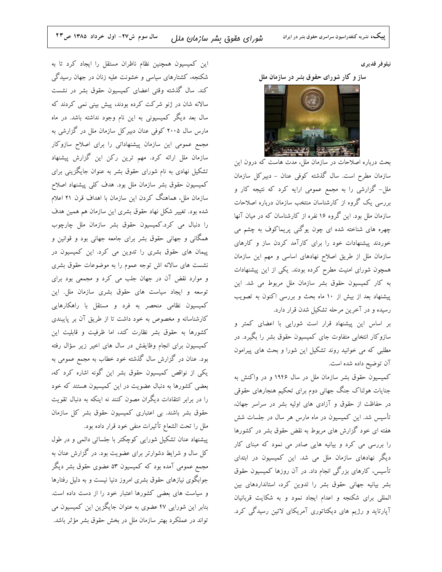نيلوفر قديرى

ساز و کار شورای حقوق بشر در سازمان ملل



.<br>بحث درباره اصلاحات در سازمان ملل، مدت هاست که درون این سازمان مطرح است. سال گذشته کوفی عنان - دبیرکل سازمان ملل- گزارشی را به مجمع عمومی ارایه کرد که نتیجه کار و بررسی یک گروه از کارشناسان منتخب سازمان درباره اصلاحات سازمان ملل بود. این گروه ۱۶ نفره از کارشناسان که در میان آنها چهره های شناخته شده ای چون یوگنی پریماکوف به چشم می خوردند پیشنهادات خود را برای کارآمد کردن ساز و کارهای سازمان ملل از طریق اصلاح نهادهای اساسی و مهم این سازمان همچون شورای امنیت مطرح کرده بودند. یکی از این پیشنهادات به کار کمیسیون حقوق بشر سازمان ملل مربوط می شد. این پیشنهاد بعد از بیش از ۱۰ ماه بحث و بررسی اکنون به تصویب رسیده و در آخرین مرحله تشکیل شدن قرار دارد.

بر اساس این پیشنهاد قرار است شورایی با اعضای کمتر و سازوکار انتخابی متفاوت جای کمیسیون حقوق بشر را بگیرد. در مطلبی که می خوانید روند تشکیل این شورا و بحث های پیرامون آن توضيح داده شده است.

کمیسیون حقوق بشر سازمان ملل در سال ۱۹۴۶ و در واکنش به جنایات هولناک جنگ جهانی دوم برای تحکیم هنجارهای حقوقی در حفاظت از حقوق و آزادی های اولیه بشر در سراسر جهان، تأسیس شد. این کمیسیون در ماه مارس هر سال در جلسات شش هفته ای خود گزارش های مربوط به نقض حقوق بشر در کشورها را بررسی می کرد و بیانیه هایی صادر می نمود که مبنای کار دیگر نهادهای سازمان ملل می شد. این کمیسیون در ابتدای تأسیس، کارهای بزرگی انجام داد. در آن روزها کمیسیون حقوق بشر بیانیه جهانی حقوق بشر را تدوین کرد، استانداردهای بین المللی برای شکنجه و اعدام ایجاد نمود و به شکایت قربانیان آپارتاید و رژیم های دیکتاتوری آمریکای لاتین رسیدگی کرد.

این کمیسیون همچنین نظام ناظران مستقل را ایجاد کرد تا به شکنجه، کشتارهای سیاسی و خشونت علیه زنان در جهان رسیدگی کند. سال گذشته وقتی اعضای کمیسیون حقوق بشر در نشست سالانه شان در ژنو شرکت کرده بودند، پیش بینی نمی کردند که سال بعد دیگر کمیسیونی به این نام وجود نداشته باشد. در ماه مارس سال ۲۰۰۵ کوفی عنان دبیرکل سازمان ملل در گزارشی به مجمع عمومی این سازمان پیشنهاداتی را برای اصلاح سازوکار سازمان ملل ارائه کرد. مهم ترین رکن این گزارش پیشنهاد تشکیل نهادی به نام شورای حقوق بشر به عنوان جایگزینی برای کمیسیون حقوق بشر سازمان ملل بود. هدف کلی پیشنهاد اصلاح سازمان ملل، هماهنگ کردن این سازمان با اهداف قرن ۲۱ اعلام شده بود. تغییر شکل نهاد حقوق بشری این سازمان هم همین هدف را دنبال می کرد.کمیسیون حقوق بشر سازمان ملل چارچوب همگانی و جهانی حقوق بشر برای جامعه جهانی بود و قوانین و پیمان های حقوق بشری را تدوین می کرد. این کمیسیون در نشست های سالانه اش توجه عموم را به موضوعات حقوق بشری و موارد نقض آن در جهان جلب می کرد و مجمعی بود برای توسعه و ایجاد سیاست های حقوق بشری سازمان ملل. این کمیسیون نظامی منحصر به فرد و مستقل با راهکارهایی کارشناسانه و مخصوص به خود داشت تا از طریق آن بر پایبندی كشورها به حقوق بشر نظارت كند، اما ظرفيت و قابليت اين کمیسیون برای انجام وظایفش در سال های اخیر زیر سؤال رفته بود. عنان در گزارش سال گذشته خود خطاب به مجمع عمومی به یکی از نواقص کمیسیون حقوق بشر این گونه اشاره کرد که، بعضی کشورها به دنبال عضویت در این کمیسیون هستند که خود را در برابر انتقادات دیگران مصون کنند نه اینکه به دنبال تقویت حقوق بشر باشند. بی اعتباری کمیسیون حقوق بشر کل سازمان ملل را تحت الشعاع تأثيرات منفي خود قرار داده بود.

پیشنهاد عنان تشکیل شورایی کوچکتر با جلساتی دائمی و در طول کل سال و شرایط دشوارتر برای عضویت بود. در گزارش عنان به مجمع عمومی آمده بود که کمیسیون ۵۳ عضوی حقوق بشر دیگر جوابگوی نیازهای حقوق بشری امروز دنیا نیست و به دلیل رفتارها و سیاست های بعضی کشورها اعتبار خود را از دست داده است. بنابر این شورایی ۴۷ عضوی به عنوان جایگزین این کمیسیون می تواند در عملکرد بهتر سازمان ملل در بخش حقوق بشر مؤثر باشد.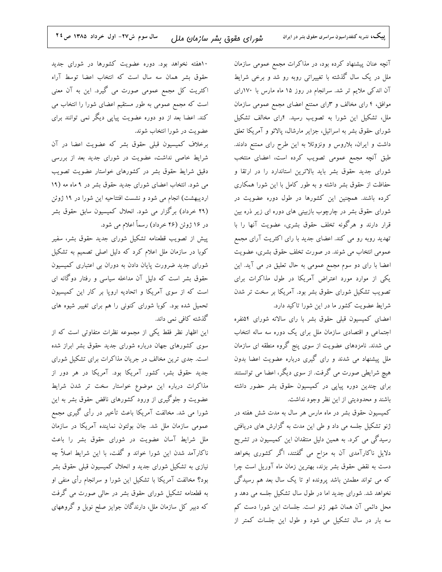آنچه عنان پیشنهاد کرده بود، در مذاکرات مجمع عمومی سازمان ملل در یک سال گذشته با تغییراتی روبه رو شد و برخی شرایط آن اندکی ملایم تر شد. سرانجام در روز ۱۵ ماه مارس با ۱۷۰رای موافق، ۴ رای مخالف و ۳رای ممتنع اعضای مجمع عمومی سازمان ملل، تشکیل این شورا به تصویب رسید. ارای مخالف تشکیل شورای حقوق بشر به اسرائیل، جزایر مارشال، پالائو و آمریکا تعلق داشت و ایران، بلاروس و ونزوئلا به این طرح رای ممتنع دادند. طبق آنچه مجمع عمومی تصویب کرده است، اعضای منتخب شورای جدید حقوق بشر باید بالاترین استاندارد را در ارتقا و حفاظت از حقوق بشر داشته و به طور کامل با این شورا همکاری کرده باشند. همچنین این کشورها در طول دوره عضویت در شورای حقوق بشر در چارچوب بازبینی های دوره ای زیر ذره بین قرار دارند و هرگونه تخلف حقوق بشری، عضویت آنها را با تهدید روبه رو می کند. اعضای جدید با رای اکثریت آرای مجمع عمومی انتخاب می شوند. در صورت تخلف حقوق بشری، عضویت اعضا با رای دو سوم مجمع عمومی به حال تعلیق در می آید. این یکی از موارد مورد اعتراض آمریکا در طول مذاکرات برای تصویب تشکیل شورای حقوق بشر بود. آمریکا بر سخت تر شدن شرایط عضویت کشور ما در این شورا تاکید دارد.

اعضای کمیسیون قبلی حقوق بشر با رای سالانه شورای ۵۴نفره اجتماعی و اقتصادی سازمان ملل برای یک دوره سه ساله انتخاب می شدند. نامزدهای عضویت از سوی پنج گروه منطقه ای سازمان ملل پیشنهاد می شدند و رای گیری درباره عضویت اعضا بدون هیچ شرایطی صورت می گرفت. از سوی دیگر، اعضا می توانستند برای چندین دوره پیاپی در کمیسیون حقوق بشر حضور داشته باشند و محدودیتی از این نظر وجود نداشت.

کمیسیون حقوق بشر در ماه مارس هر سال به مدت شش هفته در ژنو تشکیل جلسه می داد و طی این مدت به گزارش های دریافتی رسیدگی می کرد. به همین دلیل منتقدان این کمیسیون در تشریح دلایل ناکارآمدی آن به مزاح می گفتند، اگر کشوری بخواهد دست به نقض حقوق بشر بزند، بهترین زمان ماه آوریل است چرا که می تواند مطمئن باشد پرونده او تا یک سال بعد هم رسیدگی نخواهد شد. شورای جدید اما در طول سال تشکیل جلسه می دهد و محل دائمی آن همان شهر ژنو است. جلسات این شورا دست کم سه بار در سال تشکیل می شود و طول این جلسات کمتر از

۱۰هفته نخواهد بود. دوره عضویت کشورها در شورای جدید حقوق بشر همان سه سال است كه انتخاب اعضا توسط آراء اکثریت کل مجمع عمومی صورت می گیرد. این به آن معنی است که مجمع عمومی به طور مستقیم اعضای شورا را انتخاب می کند. اعضا بعد از دو دوره عضویت پیاپی دیگر نمی توانند برای عضويت در شورا انتخاب شوند.

برخلاف کمیسیون قبلی حقوق بشر که عضویت اعضا در آن شرایط خاصی نداشت، عضویت در شورای جدید بعد از بررسی دقیق شرایط حقوق بشر در کشورهای خواستار عضویت تصویب می شود. انتخاب اعضای شورای جدید حقوق بشر در ۹ ماه مه (۱۹ اردیبهشت) انجام می شود و نشست افتتاحیه این شورا در ۱۹ ژوئن (۲۹ خرداد) برگزار می شود. انحلال کمیسیون سابق حقوق بشر در ۱۶ ژوئن (۲۶ خرداد) رسماً اعلام می شود.

پیش از تصویب قطعنامه تشکیل شورای جدید حقوق بشر، سفیر کوبا در سازمان ملل اعلام کرد که دلیل اصلی تصمیم به تشکیل شورای جدید ضرورت پایان دادن به دوران بی اعتباری کمیسیون حقوق بشر است که دلیل آن مداخله سیاسی و رفتار دوگانه ای است که از سوی آمریکا و اتحادیه اروپا بر کار این کمیسیون تحمیل شده بود. کوبا شورای کنونی را هم برای تغییر شیوه های گذشته کافی نمی داند.

این اظهار نظر فقط یکی از مجموعه نظرات متفاوتی است که از سوی کشورهای جهان درباره شورای جدید حقوق بشر ابراز شده است. جدی ترین مخالف در جریان مذاکرات برای تشکیل شورای جدید حقوق بشر، کشور آمریکا بود. آمریکا در هر دور از مذاکرات درباره این موضوع خواستار سخت تر شدن شرایط عضویت و جلوگیری از ورود کشورهای ناقض حقوق بشر به این شورا می شد. مخالفت آمریکا باعث تأخیر در رأی گیری مجمع عمومی سازمان ملل شد. جان بولتون نماینده آمریکا در سازمان ملل شرایط آسان عضویت در شورای حقوق بشر را باعث ناکارآمد شدن این شورا خواند و گفت، با این شرایط اصلاً چه نیازی به تشکیل شورای جدید و انحلال کمیسیون قبلی حقوق بشر بود؟ مخالفت آمریکا با تشکیل این شورا و سرانجام رأی منفی او به قطعنامه تشکیل شورای حقوق بشر در حالی صورت می گرفت که دبیر کل سازمان ملل، دارندگان جوایز صلح نوبل و گروههای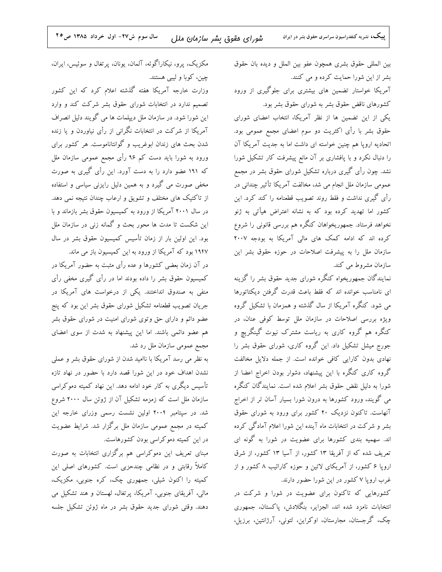بين المللي حقوق بشرى همچون عفو بين الملل و ديده بان حقوق بشر از این شورا حمایت کرده و می کنند. آمریکا خواستار تضمین های بیشتری برای جلوگیری از ورود کشورهای ناقض حقوق بشر به شورای حقوق بشر بود.

یکی از این تضمین ها از نظر آمریکا، انتخاب اعضای شورای حقوق بشر با رأى اكثريت دو سوم اعضاى مجمع عمومى بود. اتحادیه اروپا هم چنین خواسته ای داشت اما به جدیت آمریکا آن را دنبال نکرد و با پافشاری بر آن مانع پیشرفت کار تشکیل شورا نشد. چون رأی گیری درباره تشکیل شورای حقوق بشر در مجمع عمومی سازمان ملل انجام می شد، مخالفت آمریکا تأثیر چندانی در رأى گيرى نداشت و فقط روند تصويب قطعنامه را كند كرد. اين کشور اما تهدید کرده بود که به نشانه اعتراض هیأتی به ژنو نخواهد فرستاد. جمهوریخواهان کنگره هم بررسی قانونی را شروع کرده اند که ادامه کمک های مالی آمریکا به بودجه ۲۰۰۷ سازمان ملل را به پیشرفت اصلاحات در حوزه حقوق بشر این سازمان مشروط می کند.

نمایندگان جمهوریخواه کنگره شورای جدید حقوق بشر را گزینه ای نامناسب خوانده اند که فقط باعث قدرت گرفتن دیکتاتورها می شود. کنگره آمریکا از سال گذشته و همزمان با تشکیل گروه ویژه بررسی اصلاحات در سازمان ملل توسط کوفی عنان، در کنگره هم گروه کاری به ریاست مشترک نیوت گینگریچ و جورج میشل تشکیل داد. این گروه کاری، شورای حقوق بشر را نهادی بدون کارایی کافی خوانده است. از جمله دلایل مخالفت گروه کاری کنگره با این پیشنهاد، دشوار بودن اخراج اعضا از شورا به دلیل نقض حقوق بشر اعلام شده است. نمایندگان کنگره می گویند، ورود کشورها به درون شورا بسیار آسان تر از اخراج آنهاست. تاکنون نزدیک ۲۰ کشور برای ورود به شورای حقوق بشر و شرکت در انتخابات ماه آینده این شورا اعلام آمادگی کرده اند. سهمیه بندی کشورها برای عضویت در شورا به گونه ای تعریف شده که از آفریقا ۱۳ کشور، از آسیا ۱۳ کشور، از شرق ارویا ۶ کشور، از آمریکای لاتین و حوزه کارائیب ۸ کشور و از غرب اروپا ۷ کشور در این شورا حضور دارند.

کشورهایی که تاکنون برای عضویت در شورا و شرکت در انتخابات نامزد شده اند، الجزایر، بنگلادش، پاکستان، جمهوری چک، گرجستان، مجارستان، اوکراین، لتونی، آرژانتین، برزیل،

مکزیک، پرو، نیکاراگوئه، آلمان، یونان، پرتغال و سوئیس، ایران، چین، کوبا و لیبی هستند.

وزارت خارجه آمریکا هفته گذشته اعلام کرد که این کشور تصمیم ندارد در انتخابات شورای حقوق بشر شرکت کند و وارد این شورا شود. در سازمان ملل دیپلمات ها می گویند دلیل انصراف آمریکا از شرکت در انتخابات نگرانی از رأی نیاوردن و یا زنده شدن بحث های زندان ابوغریب و گوانتاناموست. هر کشور برای ورود به شورا باید دست کم ۹۶ رأی مجمع عمومی سازمان ملل که ۱۹۱ عضو دارد را به دست آورد. این رأی گیری به صورت مخفی صورت می گیرد و به همین دلیل رایزنی سیاسی و استفاده از تاکتیک های مختلف و تشویق و ارعاب چندان نتیجه نمی دهد. در سال ۲۰۰۱ آمریکا از ورود به کمیسیون حقوق بشر بازماند و با این شکست تا مدت ها محور بحث و گمانه زنی در سازمان ملل بود. این اولین بار از زمان تأسیس کمیسیون حقوق بشر در سال ۱۹۴۷ بود که آمریکا از ورود به این کمیسیون باز می ماند.

در آن زمان بعضی کشورها و عده رأی مثبت به حضور آمریکا در کمیسیون حقوق بشر را داده بودند اما در رأی گیری مخفی رأی منفی به صندوق انداختند. یکی از درخواست های آمریکا در جریان تصویب قطعنامه تشکیل شورای حقوق بشر این بود که پنج عضو دائم و دارای حق وتوی شورای امنیت در شورای حقوق بشر هم عضو دائمی باشند. اما این پیشنهاد به شدت از سوی اعضای مجمع عمومی سازمان ملل رد شد.

به نظر می رسد آمریکا با ناامید شدن از شورای حقوق بشر و عملی نشدن اهداف خود در این شورا قصد دارد با حضور در نهاد تازه تأسیس دیگری به کار خود ادامه دهد. این نهاد کمیته دموکراسی سازمان ملل است که زمزمه تشکیل آن از ژوئن سال ۲۰۰۰ شروع شد. در سپتامبر ۲۰۰۴ اولین نشست رسمی وزرای خارجه این کمیته در مجمع عمومی سازمان ملل برگزار شد. شرایط عضویت در این کمیته دموکراسی بودن کشورهاست.

مبنای تعریف این دموکراسی هم برگزاری انتخابات به صورت کاملاً رقابتی و در نظامی چندحزبی است. کشورهای اصلی این کمیته را اکنون شیلی، جمهوری چک، کره جنوبی، مکزیک، مالی، آفریقای جنوبی، آمریکا، پرتغال، لهستان و هند تشکیل می دهند. وقتی شورای جدید حقوق بشر در ماه ژوئن تشکیل جلسه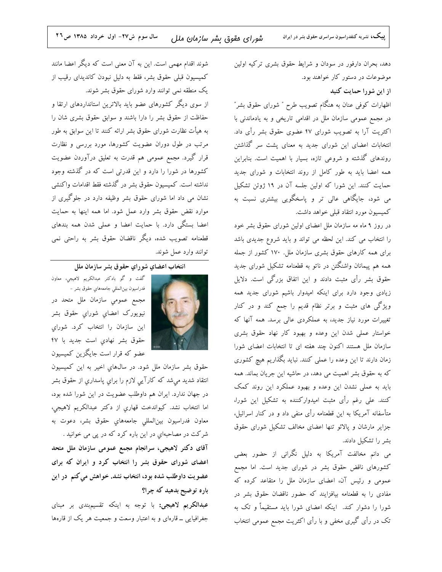دهد، بحران دارفور در سودان و شرایط حقوق بشری ترکیه اولین موضوعات در دستور کار خواهند بود.

از این شورا حمایت کنید

اظهارات کوفی عنان به هنگام تصویب طرح " شورای حقوق بشر" در مجمع عمومی سازمان ملل در اقدامی تاریخی و به یادماندنی با اکثریت آرا به تصویب شورای ۴۷ عضوی حقوق بشر رأی داد. انتخابات اعضای این شورای جدید به معنای پشت سر گذاشتن روندهای گذشته و شروعی تازه، بسیار با اهمیت است. بنابراین همه اعضا باید به طور کامل از روند انتخابات و شورای جدید حمایت کنند. این شورا که اولین جلسه آن در ۱۹ ژوئن تشکیل می شود، جایگاهی عالی تر و پاسخگویی بیشتری نسبت به كميسيون مورد انتقاد قبلي خواهد داشت.

در روز ۹ ماه مه سازمان ملل اعضای اولین شورای حقوق بشر خود را انتخاب می کند. این لحظه می تواند و باید شروع جدیدی باشد برای همه کارهای حقوق بشری سازمان ملل. ۱۷۰ کشور از جمله همه هم پیمانان واشنگتن در ناتو به قطعنامه تشکیل شورای جدید حقوق بشر رأى مثبت دادند و اين اتفاق بزرگى است. دلايل زیادی وجود دارد برای اینکه امیدوار باشیم شورای جدید همه ویژگی های مثبت و برتر نظام قدیم را جمع کند و در کنار تغییرات مورد نیاز جدید، به عملکردی عالی برسد. همه آنها که خواستار عملی شدن این وعده و بهبود کار نهاد حقوق بشری سازمان ملل هستند اكنون چند هفته اى تا انتخابات اعضاى شورا زمان دارند تا این وعده را عملی کنند. نباید بگذاریم هیچ کشوری که به حقوق بشر اهمیت می دهد، در حاشیه این جریان بماند. همه باید به عملی نشدن این وعده و بهبود عملکرد این روند کمک کنند. علی رغم رأی مثبت امیدوارکننده به تشکیل این شورا، متأسفانه آمریکا به این قطعنامه رأی منفی داد و در کنار اسرائیل، جزایر مارشان و پالائو تنها اعضای مخالف تشکیل شورای حقوق بشر را تشكيل دادند.

می دانم مخالفت آمریکا به دلیل نگرانی از حضور بعضی کشورهای ناقض حقوق بشر در شورای جدید است. اما مجمع عمومی و رئیس آن، اعضای سازمان ملل را متقاعد کرده که مفادی را به قطعنامه بیافزایند که حضور ناقضان حقوق بشر در شورا را دشوار کند. اینکه اعضای شورا باید مستقیماً و تک به تک در رأی گیری مخفی و با رأی اکثریت مجمع عمومی انتخاب

شوند اقدام مهمی است. این به آن معنی است که دیگر اعضا مانند كميسيون قبلي حقوق بشر، فقط به دليل نبودن كانديداي رقيب از یک منطقه نمی توانند وارد شورای حقوق بشر شوند.

از سوی دیگر کشورهای عضو باید بالاترین استانداردهای ارتقا و حفاظت از حقوق بشر را دارا باشند و سوابق حقوق بشرى شان را به هیأت نظارت شورای حقوق بشر ارائه کنند تا این سوابق به طور مرتب در طول دوران عضویت کشورها، مورد بررسی و نظارت قرار گیرد. مجمع عمومی هم قدرت به تعلیق درآوردن عضویت کشورها در شورا را دارد و این قدرتی است که در گذشته وجود نداشته است. کمیسیون حقوق بشر در گذشته فقط اقدامات واکنشی نشان می داد اما شورای حقوق بشر وظیفه دارد در جلوگیری از موارد نقض حقوق بشر وارد عمل شود. اما همه اينها به حمايت اعضا بستگی دارد. با حمایت اعضا و عملی شدن همه بندهای قطعنامه تصویب شده، دیگر ناقضان حقوق بشر به راحتی نمی توانند وارد عمل شوند.

انتخاب اعضای شو رای حقوق بشر سازمان ملل



گفت و گو بادکتر عبدالکریم لاهیجی، معاون فدراسيون بين|لمللي جامعههاي حقوق بشر – مجمع عمومی سازمان ملل متحد در نيويورک اعضاي شوراي حقوق بشر این سازمان را انتخاب کرد. شورای حقوق بشر نهادي است جديد با ۴۷ عضو که قرار است جایگزین کمیسیون

حقوق بشر سازمان ملل شود. در سالهای اخیر به این کمیسیون انتقاد شديد مي شد كه كارآيي لازم را براي پاسداري از حقوق بشر در جهان ندارد. ایران هم داوطلب عضویت در این شورا شده بود، اما انتخاب نشد. كيواندخت قهاري از دكتر عبدالكريم لاهيجي، معاون فدراسیون بینالمللی جامعههای حقوق بشر، دعوت به شرکت در مصاحبهاي در اين باره کرد که در پی می خوانيد . آقای دکتر لاهیجی، سرانجام مجمع عمومی سازمان ملل متحد اعضای شورای حقوق بشر را انتخاب کرد و ایران که برای عضویت داوطلب شده بود، انتخاب نشد. خواهش می کنم در این باره توضیح بدهید که چرا؟

**عبدالکریم لاهیجی:** با توجه به اینکه تقسیم.بندی بر مبنای جغرافیایی ــ قارهای و به اعتبار وسعت و جمعیت هر یک از قارهها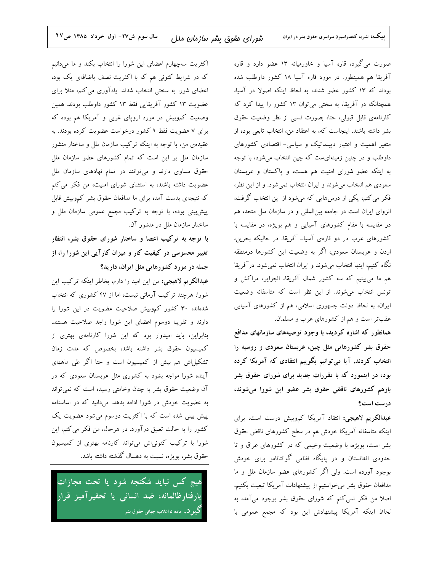صورت میگیرد، قاره آسیا و خاورمیانه ۱۳ عضو دارد و قاره آفریقا هم همینطور. در مورد قاره آسیا ۱۸ کشور داوطلب شده بودند که ۱۳ کشور عضو شدند، به لحاظ اینکه اصولا در آسیا، همچنانکه در آفریقا، به سختی می توان ۱۳ کشور را پیدا کرد که كارنامهي قابل قبولي، حتا، بصورت نسبي از نظر وضعيت حقوق بشر داشته باشند. اینجاست که، به اعتقاد من، انتخاب تابعی بوده از متغیر اهمیت و اعتبار دپیلماتیک و سیاسی- اقتصادی کشورهای داوطلب و در چنین زمینهایست که چین انتخاب میشود، با توجه به اینکه عضو شورای امنیت هم هست، و پاکستان و عربستان سعودی هم انتخاب میشوند و ایران انتخاب نمیشود. و از این نظر، فکر می کنم، یکی از درسهایی که میشود از این انتخاب گرفت، انزوای ایران است در جامعه بین|لمللی و در سازمان ملل متحد، هم در مقایسه با مقام کشورهای آسیایی و هم بویژه، در مقایسه با کشورهای عرب در دو قارهی آسیاــ آفریقا. در حالیکه بحرین، اردن و عربستان سعودی، اگر به وضعیت این کشورها درمنطقه نگاه کنیم، اینها انتخاب میشوند و ایران انتخاب نمیشود. درآفریقا هم ما میبینیم که سه کشور شمال آفریقا، الجزایر، مراکش و تونس انتخاب میشوند. از این نظر است که متاسفانه وضعیت ایران، به لحاظ دولت جمهوری اسلامی، هم از کشورهای آسیایی عقب تر است و هم از کشورهای عرب و مسلمان.

همانطور که اشاره کردید، با وجود توصیههای سازمانهای مدافع حقوق بشر کشورهایی مثل چین، عربستان سعودی و روسیه را انتخاب کردند. آیا میتوانیم بگوییم انتقادی که آمریکا کرده بود، در اینمورد که با مقررات جدید برای شورای حقوق بشر بازهم كشورهاى ناقض حقوق بشر عضو اين شورا مى شوند، درست است؟

عبدالکریم لاهیجی: انتقاد آمریکا کموبیش درست است، برای اینکه متاسفانه آمریکا خودش هم در سطح کشورهای ناقض حقوق بشر است، بویژه، با وضعیت وخیمی که در کشورهای عراق و تا حدودی افغانستان و در پایگاه نظامی گوانتانامو برای خودش بوجود آورده است. ولي اگر كشورهاي عضو سازمان ملل و ما مدافعان حقوق بشر مى خواستيم از پيشنهادات آمريكا تبعيت بكنيم، اصلا من فکر نمی کنم که شورای حقوق بشر بوجود میآمد، به لحاظ اینکه آمریکا پیشنهادش این بود که مجمع عمومی با

اکثریت سهچهارم اعضای این شورا را انتخاب بکند و ما میدانیم که در شرایط کنونی هم که با اکثریت نصف باضافهی یک بود، اعضای شورا به سختی انتخاب شدند. یادآوری می کنم، مثلا برای عضويت ١٣ كشور آفريقايي فقط ١٣ كشور داوطلب بودند. همين وضعیت کموبیش در مورد اروپای غربی و آمریکا هم بوده که برای ۷ عضویت فقط ۹ کشور درخواست عضویت کرده بودند. به عقیدهی من، با توجه به اینکه ترکیب سازمان ملل و ساختار منشور سازمان ملل بر این است که تمام کشورهای عضو سازمان ملل حقوق مساوی دارند و میتوانند در تمام نهادهای سازمان ملل عضویت داشته باشند، به استثنای شورای امنیت، من فکر می کنم که نتیجهی بدست آمده برای ما مدافعان حقوق بشر کم وبیش قابل پیش بینی بوده، با توجه به ترکیب مجمع عمومی سازمان ملل و ساختار سازمان ملل در منشور آن.

با توجه به ترکیب اعضا و ساختار شورای حقوق بشر، انتظار تغییر محسوسی در کیفیت کار و میزان کارآیی این شورا را، از جمله در مورد کشورهایی مثل ایران، دارید؟

عبدالکریم لاهیجی: من این امید را دارم، بخاطر اینکه ترکیب این شورا، هرچند ترکیب آرمانی نیست، اما از ۴۷ کشوری که انتخاب شدهاند، ۳۰ کشور کموبیش صلاحیت عضویت در این شورا را دارند و تقریبا دوسوم اعضای این شورا واجد صلاحیت هستند. بنابراین، باید امیدوار بود که این شورا کارنامهی بهتری از کمیسیون حقوق بشر داشته باشد، بخصوص که مدت زمان تشکیل اش هم بیش از کمیسیون است و حتا اگر طی ماههای آینده شورا مواجه بشود به کشوری مثل عربستان سعودی که در آن وضعیت حقوق بشر به چنان وخامتی رسیده است که نمیتواند به عضویت خودش در شورا ادامه بدهد. میدانید که در اساسنامه پیش بینی شده است که با اکثریت دوسوم میشود عضویت یک کشور را به حالت تعلیق درآورد. در هرحال، من فکر می کنم، این شورا با ترکیب کنونی|ش میتواند کارنامه بهتری از کمیسیون حقوق بشر، بویژه، نسبت به دهسال گذشته داشته باشد.

هیچ کس نباید شکّنجه شو<sup>ّ</sup>د یا تحت مجازات یارفتارظالمانه، ضد انسانی یا تحقیرآمیز قرار **گیر د.** ماده ۵ اعلامیه جهانی حقوق بشر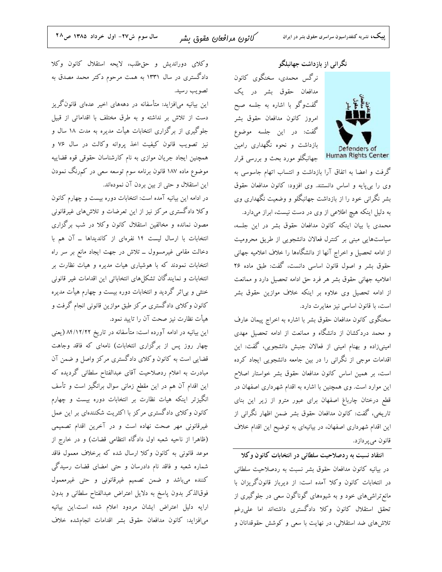Defenders of Human Rights Center

نگرانی از بازداشت جهانبلگو

نرگس محمدی، سخنگوی کانون مدافعان حقوق بشر در یک گفتوگو با اشاره به جلسه صبح امروز كانون مدافعان حقوق بشر گفت: در این جلسه موضوع بازداشت و نحوه نگهداری رامین جهانبگلو مورد بحث و بررسی قرار

گرفت و اعضا به اتفاق آرا بازداشت و انتساب اتهام جاسوسی به وی را بی پایه و اساس دانستند. وی افزود: کانون مدافعان حقوق بشر نگرانی خود را از بازداشت جهانبگلو و وضعیت نگهداری وی به دلیل اینکه هیچ اطلاعی از وی در دست نیست، ابراز میدارد.

محمدی با بیان اینکه کانون مدافعان حقوق بشر در این جلسه، سیاستهایی مبنی بر کنترل فعالان دانشجویی از طریق محرومیت از ادامه تحصیل و اخراج آنها از دانشگاهها را خلاف اعلامیه جهانی حقوق بشر و اصول قانون اساسی دانست، گفت: طبق ماده ۲۶ اعلامیه جهانی حقوق بشر هر فرد حق ادامه تحصیل دارد و ممانعت از ادامه تحصیل وی علاوه بر اینکه خلاف موازین حقوق بشر است، با قانون اساسی نیز مغایرت دارد.

سخنگوی کانون مدافعان حقوق بشر با اشاره به اخراج پیمان عارف و محمد دردکشان از دانشگاه و ممانعت از ادامه تحصیل مهدی امینیزاده و بهنام امینی از فعالان جنبش دانشجویی، گفت: این اقدامات موجی از نگرانی را در بین جامعه دانشجویی ایجاد کرده است، بر همین اساس کانون مدافعان حقوق بشر خواستار اصلاح این موارد است. وی همچنین با اشاره به اقدام شهرداری اصفهان در قطع درختان چارباغ اصفهان برای عبور مترو از زیر این بنای تاریخی، گفت: کانون مدافعان حقوق بشر ضمن اظهار نگرانی از این اقدام شهرداری اصفهان، در بیانیهای به توضیح این اقدام خلاف قانون ميپردازد.

انتقاد نسبت به ردصلاحیت سلطانی در انتخابات کانون وکلا در بیانیه کانون مدافعان حقوق بشر نسبت به ردصلاحیت سلطانی در انتخابات کانون وکلا آمده است: از دیرباز قانونگریزان با مانع تراشیهای خود و به شیوههای گوناگون سعی در جلوگیری از تحقق استقلال كانون وكلا دادگسترى داشتهاند اما علىرغم .<br>تلاشهای ضد استقلالی، در نهایت با سعی و کوشش حقوقدانان و

وكلاي دورانديش وحق طلب، لايحه استقلال كانون وكلا دادگستری در سال ۱۳۳۱ به همت مرحوم دکتر محمد مصدق به تصويب رسيد.

این بیانیه می|فزاید: متأسفانه در دهههای اخیر عدهای قانونگریز دست از تلاش بر نداشته و به طرق مختلف با اقداماتی از قبیل جلوگیری از برگزاری انتخابات هیأت مدیره به مدت ۱۸ سال و نیز تصویب قانون کیفیت اخذ پروانه وکالت در سال ۷۶ و همچنین ایجاد جریان موازی به نام کارشناسان حقوقی قوه قضاییه موضوع ماده ۱۸۷ قانون برنامه سوم توسعه سعی در کم,رنگ نمودن این استقلال و حتی از بین بردن آن نمودهاند.

در ادامه این بیانیه آمده است: انتخابات دوره بیست و چهارم کانون وکلا دادگستری مرکز نیز از این تعرضات و تلاشهای غیرقانونی مصون نمانده و مخالفین استقلال کانون وکلا در شب برگزاری انتخابات با ارسال لیست ۱۴ نفرهای از کاندیداها ــ آن هم با دخالت مقامی غیرمسوول ــ تلاش در جهت ایجاد مانع بر سر راه انتخابات نمودند که با هوشیاری هیات مدیره و هیات نظارت بر انتخابات و نمایندگان تشکلهای انتخاباتی این اقدامات غیر قانونی خنثی و بی|ثر گردید و انتخابات دوره بیست و چهارم هیأت مدیره کانون وکلای دادگستری مرکز طبق موازین قانونی انجام گرفت و هيأت نظارت نيز صحت آن را تاييد نمود.

این بیانیه در ادامه آورده است: متأسفانه در تاریخ ۸۴/۱۲/۲۲ (یعنی چهار روز پس از برگزاری انتخابات) نامهای که فاقد وجاهت قضایی است به کانون وکلای دادگستری مرکز واصل و ضمن آن مبادرت به اعلام ردصلاحیت آقای عبدالفتاح سلطانی گردیده که این اقدام آن هم در این مقطع زمانی سوال برانگیز است و تأسف انگیزتر اینکه هیات نظارت بر انتخابات دوره بیست و چهارم کانون وکلای دادگستری مرکز با اکثریت شکنندهای بر این عمل غیرقانونی مهر صحت نهاده است و در آخرین اقدام تصمیمی (ظاهرا از ناحیه شعبه اول دادگاه انتظامی قضات) و در خارج از موعد قانونی به کانون وکلا ارسال شده که برخلاف معمول فاقد شماره شعبه و فاقد نام دادرسان و حتی امضای قضات رسیدگی کننده میباشد و ضمن تصمیم غیرقانونی و حتی غیرمعمول فوقالذكر بدون پاسخ به دلايل اعتراض عبدالفتاح سلطاني و بدون ارایه دلیل اعتراض ایشان مردود اعلام شده است.این بیانیه میافزاید: کانون مدافعان حقوق بشر اقدامات انجامشده خلاف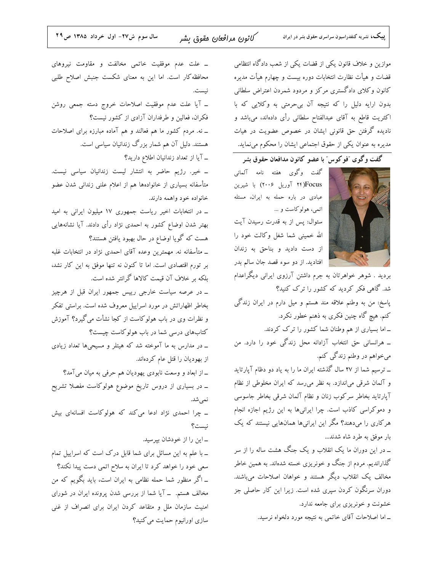موازین و خلاف قانون یکی از قضات یکی از شعب دادگاه انتظامی قضات و هیأت نظارت انتخابات دوره بیست و چهارم هیأت مدیره کانون وکلای دادگستری مرکز و مردود شمردن اعتراض سلطانی بدون ارایه دلیل را که نتیجه آن بی حرمتی به وکلایی که با اکثریت قاطع به آقای عبدالفتاح سلطانی رأی دادهاند، میباشد و نادیده گرفتن حق قانونی ایشان در خصوص عضویت در هیات مدیره به عنوان یکی از حقوق اجتماعی ایشان را محکوم مینماید.

گفت وگوی ؒفوکوس ؒ با عضو کانون مدافعان حقوق بشر

گفت وگوی هفته نامه آلمانی Focus آوریل ۲۰۰۶) با شیرین عبادی در باره حمله به ایران، مسئله اتمي، هولوکاست و … سئوال: پس از به قدرت رسیدن آیت الله خمینی شما شغل وکالت خود را از دست دادید و بناحق به زندان افتاديد. از دو سوء قصد جان سالم بدر



بردید . شوهر خواهرتان به جرم داشتن آرزوی ایرانی دیگراعدام شد. گاهی فکر کردید که کشور را ترک کنید؟ پاسخ: من به وطنم علاقه مند هستم و میل دارم در ایران زندگی کنم. هیچ گاه چنین فکری به ذهنم خطور نکرد. ــ اما بسیاری از هم وطنان شما کشور را ترک کردند. ــ هرانسانی حق انتخاب آزادانه محل زندگی خود را دارد. من میخواهم در وطنم زندگی کنم. \_ ترسیم شما از ۲۷ سال گذشته ایران ما را به یاد دو دظام آپارتاید و آلمان شرقی می|ندازد. به نظر می٫سد که ایران مخلوطی از نظام آپارتاید بخاطر سرکوب زنان و نظام آلمان شرقی بخاطر جاسوسی و دموکراسی کاذب است. چرا ایرانیها به این رژیم اجازه انجام هرکاری را میدهند؟ مگر این ایرانیها همانهایی نیستند که یک بار موفق به طرد شاه شدند...

\_ در این دوران ما یک انقلاب و یک جنگ هشت ساله را از سر گذاراندیم. مردم از جنگ و خونریزی خسته شدهاند. به همین خاطر مخالف یک انقلاب دیگر هستند و خواهان اصلاحات می؛شند. دوران سرنگون کردن سپری شده است. زیرا این کار حاصلی جز خشونت و خونریزی برای جامعه ندارد.

\_ اما اصلاحات آقای خاتمی به نتیجه مورد دلخواه نرسید.

\_ علت عدم موفقیت خاتمی مخالفت و مقاومت نیروهای محافظه کار است. اما این به معنای شکست جنبش اصلاح طلبی نيست. \_ آيا علت عدم موفقيت اصلاحات خروج دسته جمعي روشن فکران، فعالین و طرفداران آزادی از کشور نیست؟ \_ نه. مردم کشور ما هم فعالند و هم آماده مبارزه برای اصلاحات هستند. دلیل آن هم شمار بزرگ زندانیان سیاسی است. ـ آيا از تعداد زندانيان اطلاع داريد؟ ــ خیر. رژیم حاضر به انتشار لیست زندانیان سیاسی نیست. متأسفانه بسیاری از خانوادهها هم از اعلام علنی زندانی شدن عضو خانواده خود واهمه دارند. ـ در انتخابات اخیر ریاست جمهوری ۱۷ میلیون ایرانی به امید بهتر شدن اوضاع کشور به احمدی نژاد رأی دادند. آیا نشانههایی هست که گویا اوضاع در حال بهبود یافتن هستند؟ \_ متأسفانه نه. مهمترین وعده آقای احمدی نژاد در انتخابات غلبه بر تورم اقتصادی است. اما تا کنون نه تنها موفق به این کار نشد، بلکه بر خلاف آن قیمت کالاها گرانتر شده است. ـ در عرصه سیاست خارجی رییس جمهور ایران قبل از هرچیز بخاطر اظهاراتش در مورد اسراییل معروف شده است. براستی تفکر و نظرات وی در باب هولوکاست از کجا نشأت میگیرد؟ آموزش کتابهای درسی شما در باب هولوکاست چیست؟ \_ در مدارس به ما آموخته شد که هیتلر و مسیحیها تعداد زیادی از بهودیان را قتل عام کردهاند. ــ از ابعاد و وسعت نابودی یهودیان هم حرفی به میان میآمد؟ ــ در بسیاری از دروس تاریخ موضوع هولوکاست مفصلا تشریح نمي شد. ـ چرا احمدی نژاد ادعا می کند که هولوکاست افسانهای بیش نست؟ \_این را از خودشان بپرسید. \_ با علم به این مسائل برای شما قابل درک است که اسراییل تمام سعی خود را خواهد کرد تا ایران به سلاح اتمی دست پیدا نکند؟ \_ اگر منظور شما حمله نظامی به ایران است، باید بگویم که من مخالف هستم. \_ آیا شما از بررسی شدن پرونده ایران در شورای امنیت سازمان ملل و متقاعد کردن ایران برای انصراف از غنی سازی اورانیوم حمایت می کنید؟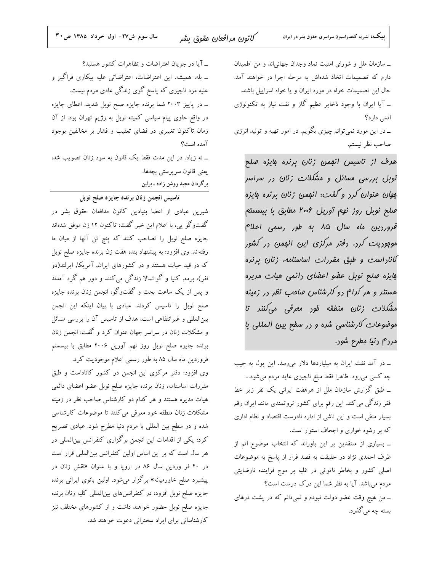سال سوم ش٢٧- اول خرداد ١٣٨٥ ص ٣٠

\_ آيا در جريان اعتراضات و تظاهرات كشور هستيد؟ \_ بله، همیشه. این اعتراضات، اعتراضاتی علیه بیکاری فراگیر و علیه مزد ناچیزی که پاسخ گوی زندگی عادی مردم نیست. \_ در پاییز ۲۰۰۳ شما برنده جایزه صلح نوبل شدید. اعطای جایزه در واقع حاوی پیام سیاسی کمیته نوبل به رژیم تهران بود. از آن زمان تاکنون تغییری در فضای تعقیب و فشار بر مخالفین بوجود آمده است؟

ــ نه زیاد. در این مدت فقط یک قانون به سود زنان تصویب شد، يعني قانون سرپرستي بچەھا. برگردان مجید روشن زاده ـ برلین

تاسیس انجمن زنان برنده جایزه صلح نوبل

شیرین عبادی از اعضا بنیادین کانون مدافعان حقوق بشر در گفتوگو یی، با اعلام این خبر گفت: تاکنون ۱۲ زن موفق شدهاند جایزه صلح نوبل را تصاحب کنند که پنج تن آنها از میان ما رفتهاند. وى افزود: به پيشنهاد بنده هفت زن برنده جايزه صلح نوبل که در قید حیات هستند و در کشورهای ایران, آمریکا, ایرلند(دو نفر)، برمه, کنیا و گواتمالا زندگی میکنند و دور هم گرد آمدند و پس از یک ساعت بحث و گفتوگو، انجمن زنان برنده جایزه صلح نوبل را تاسیس کردند. عبادی با بیان اینکه این انجمن بین|لمللی و غیرانتفاعی است، هدف از تاسیس آن را بررسی مسائل و مشکلات زنان در سراسر جهان عنوان کرد و گفت: انجمن زنان برنده جایزه صلح نوبل روز نهم آوریل ۲۰۰۶ مطابق با بیسستم فروردین ماه سال ۸۵ به طور رسمی اعلام موجودیت کرد.

وی افزود: دفتر مرکزی این انجمن در کشور کاناداست و طبق مقررات اساسنامه، زنان برنده جایزه صلح نوبل عضو اعضای دائمی هیات مدیره هستند و هر کدام دو کارشناس صاحب نظر در زمینه مشکلات زنان منطقه خود معرفی می کنند تا موضوعات کارشناسی شده و در سطح بین المللی با مردم دنیا مطرح شود. عبادی تصریح کرد: یکی از اقدامات این انجمن برگزاری کنفرانس بین|لمللی در هر سال است که بر این اساس اولین کنفرانس بین المللی قرار است در ۲۰ فر وردین سال ۸۶ در اروپا و با عنوان «نقش زنان در پیشبرد صلح خاورمیانه» برگزار میشود. اولین بانوی ایرانی برنده جایزه صلح نوبل افزود: در کنفرانسهای بین|لمللی کلیه زنان برنده جایزه صلح نوبل حضور خواهند داشت و از کشورهای مختلف نیز كارشناساني براي ايراد سخنراني دعوت خواهند شد.

ـ سازمان ملل و شورای امنیت نماد وجدان جهانیاند و من اطمینان دارم که تصمیمات اتخاذ شدهاش به مرحله اجرا در خواهند آمد. حال این تصمیمات خواه در مورد ایران و یا خواه اسراییل باشند. \_ آیا ایران با وجود ذخایر عظیم گاز و نفت نیاز به تکنولوژی اتمی دارد؟

ــ در این مورد نمیتوانم چیزی بگویم. در امور تهیه و تولید انرژی صاحب نظر نيستم.

هرف از تاسیس انجمن زنان برنره بایزه صلح نوبل بررسی مسائل و مشکلات زنان در سراسر مِهان عنوان كرد و گفت: انمِمن زنان برنده مِايزه صلح نوبل روز نهم آوریل ۲۰۰۶ مطابق با بیسستم فرورزین ماه سال ۸۵ به طور رسمی اعلام موہوریت کرر. رفتر مرکزی این انعمن <sub>د</sub>ر کشور کاناداست و طبق مقررات اساسنامه، زنان برنره بایزه صلح نوبل عضو اعضای رائمی هیات مریره هستنر و هر کرام <sub>د</sub>و ک*ار*شناس صامب نظر در زمینه مشكلات زنان منطقه فور معرفی میكنند تا موضوعات کارشناسی شره و در سطح بین المللی با مرر<sup>م</sup> ر*نیا مطرح* شور.

ـ در آمد نفت ایران به میلیاردها دلار می رسد. این پول به جیب چه کسی میرود. ظاهرا فقط مبلغ ناجیزی عاید مردم میشود... ــ طبق گزارش سازمان ملل از هرهفت ایرانی یک نفر زیر خط فقر زندگی می کند. این رقم برای کشور ثروتمندی مانند ایران رقم بسیار منفی است و این ناشی از اداره نادرست اقتصاد و نظام اداری که بر رشوه خواری و اجحاف استوار است.

ــ بسیاری از منتقدین بر این باوراند که انتخاب موضوع اتم از طرف احمدی نژاد در حقیقت به قصد فرار از پاسخ به موضوعات اصلی کشور و بخاطر ناتوانی در غلبه بر موج فزاینده نارضایتی مردم میباشد. آیا به نظر شما این درک درست است؟ ــ من هیج وقت عضو دولت نبودم و نمیدانم که در پشت درهای بسته چه می گذرد.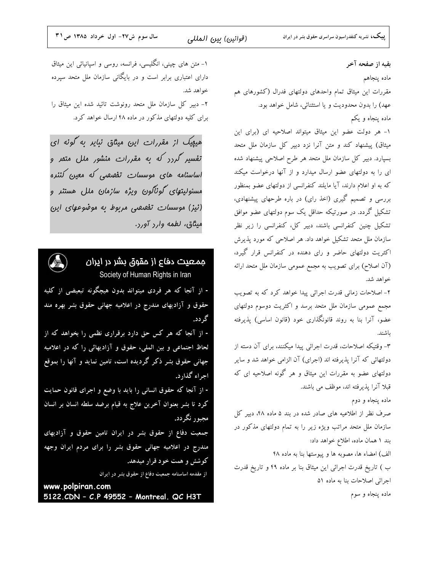بقيه از صفحه آخر

ماده پنجاهم مقررات این میثاق تمام واحدهای دولتهای فدرال (کشورهای هم عهد) را بدون محدوديت و يا استثنائي، شامل خواهد بود. ماده پنجاه و یکم

١- هر دولت عضو اين ميثاق ميتواند اصلاحيه اي (براي اين میثاق) پیشنهاد کند و متن آنرا نزد دبیر کل سازمان ملل متحد بسپارد. دبیر کل سازمان ملل متحد هر طرح اصلاحی پیشنهاد شده ای را به دولتهای عضو ارسال میدارد و از آنها درخواست میکند که به او اعلام دارند، آیا مایلند کنفرانسی از دولتهای عضو بمنظور بررسی و تصمیم گیری (اخذ رای) در باره طرحهای پیشنهادی، تشکیل گردد. در صورتیکه حداقل یک سوم دولتهای عضو موافق تشکیل چنین کنفرانسی باشند، دبیر کل، کنفرانسی را زیر نظر سازمان ملل متحد تشکیل خواهد داد. هر اصلاحی که مورد پذیرش اکثریت دولتهای حاضر و رای دهنده در کنفرانس قرار گیرد، (آن اصلاح) برای تصویب به مجمع عمومی سازمان ملل متحد ارائه خواهد شد.

۲– اصلاحات زمانی قدرت اجرائی پیدا خواهد کرد که به تصویب مجمع عمومی سازمان ملل متحد برسد و اکثریت دوسوم دولتهای عضو، آنرا بنا به روند قانونگذاری خود (قانون اساسی) پذیرفته ىاشند.

٣- وقتيكه اصلاحات، قدرت اجرائي پيدا ميكنند، براي آن دسته از دولتهائی که آنرا پذیرفته اند (اجرای) آن الزامی خواهد شد و سایر دولتهای عضو به مقررات این میثاق و هر گونه اصلاحیه ای که قبلا آنرا پذیرفته اند، موظف می باشند.

ماده پنجاه و دوم صرف نظر از اطلاعیه های صادر شده در بند ۵ ماده ۴۸، دبیر کل سازمان ملل متحد مراتب ویژه زیر را به تمام دولتهای مذکور در بند ۱ همان ماده، اطلاع خواهد داد: الف) امضاء ها، مصوبه ها و پیوستها بنا به ماده ۴۸ ب ) تاریخ قدرت اجرائی این میثاق بنا بر ماده ۴۹ و تاریخ قدرت اجرائی اصلاحات بنا به ماده ۵۱ ماده پنجاه و سوم

۱– متن های چینی، انگلیسی، فرانسه، روسی و اسپانیائی این میثاق دارای اعتباری برابر است و در بایگانی سازمان ملل متحد سیرده خواهد شد. ۲- دبیر کل سازمان ملل متحد رونوشت تائید شده این میثاق را برای کلیه دولتهای مذکور در ماده ۴۸ ارسال خواهد کرد.

هیمِیک از مقررات این میتاق نبایر به گونه ای تفسیر گردد که به مقررات منشور ملل متمر و اساسنامه های موسسات تفهیهی که معین کننره مسئولیتهای گونآگون ویژه سازمان ملل هستنر و (نیز) موسسات تفصصی مربوط به موضوعهای این میتاق، لطمه وارر آورر.

جمعیت دفاع از مقوق بشر در ایران Society of Human Rights in Iran - از آنجا که هر فردی میتواند بدون هیچگونه تبعیضی از کلیه حقوق و آزادیهای مندرج در اعلامیه جهانی حقوق بشر بهره مند گر دد. - از آنجا که هر کس حق دارد برقراری نظمی را بخواهد که از لحاظ اجتماعی و بین الملی، حقوق و آزادیهائی را که در اعلامیه جهانی حقوق بشر ذکر گردیده است، تامین نماید و آنها را بموقع اجراء گذارد. - از آنجا که حقوق انسانی را باید با وضع و اجرای قانون حمایت كرد تا بشر بعنوان آخرين علاج به قيام برضد سلطه انسان بر انسان مجبور نگردد. جمعیت دفاع از حقوق بشر در ایران تامین حقوق و آزادیهای مندرج در اعلامیه جهانی حقوق بشر را برای مردم ایران وجهه كوشش و همت خود قرار ميدهد. از مقدمه اساسنامه جمعیت دفاع از حقوق بشر در ایران www.polpiran.com

5122.CDN - C.P 49552 - Montreal. QC H3T